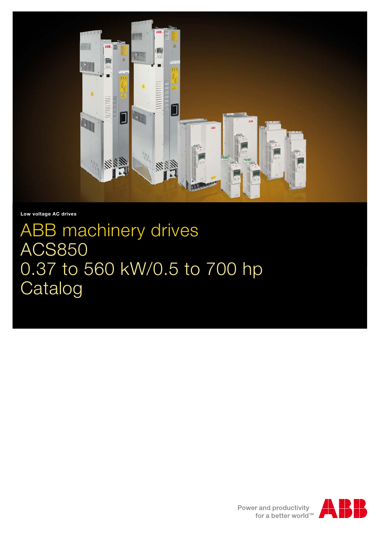

**Low voltage AC drives**

# ABB machinery drives ACS850 0.37 to 560 kW/0.5 to 700 hp Catalog

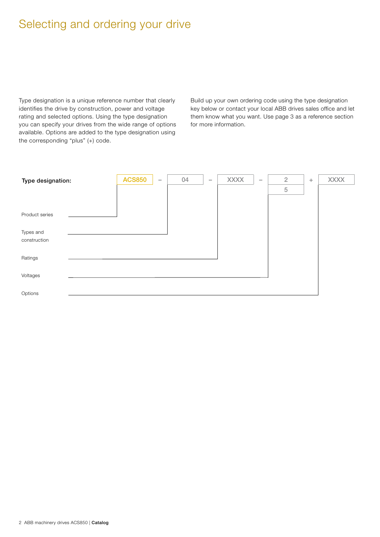# Selecting and ordering your drive

Type designation is a unique reference number that clearly identifies the drive by construction, power and voltage rating and selected options. Using the type designation you can specify your drives from the wide range of options available. Options are added to the type designation using the corresponding "plus" (+) code.

Build up your own ordering code using the type designation key below or contact your local ABB drives sales office and let them know what you want. Use page 3 as a reference section for more information.

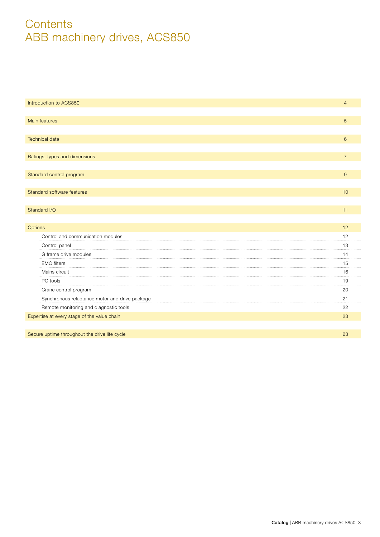# **Contents** ABB machinery drives, ACS850

| Introduction to ACS850                                                                                   | $\overline{4}$ |
|----------------------------------------------------------------------------------------------------------|----------------|
|                                                                                                          |                |
| Main features                                                                                            | 5              |
|                                                                                                          |                |
| <b>Technical data</b>                                                                                    | 6              |
|                                                                                                          |                |
| Ratings, types and dimensions                                                                            | $\overline{7}$ |
|                                                                                                          |                |
| Standard control program                                                                                 | 9              |
|                                                                                                          |                |
| Standard software features                                                                               | 10             |
|                                                                                                          |                |
| Standard I/O                                                                                             | 11             |
|                                                                                                          |                |
| Options                                                                                                  | 12             |
| Control and communication modules                                                                        | 12             |
| Control panel                                                                                            | 13             |
| G frame drive modules                                                                                    | 14             |
| <b>EMC</b> filters                                                                                       | 15             |
| Mains circuit                                                                                            | 16             |
| PC tools                                                                                                 | 19             |
| Crane control program<br>the contract of the contract of the contract of the contract of the contract of | 20<br>.        |
| Synchronous reluctance motor and drive package                                                           | 21             |
| Remote monitoring and diagnostic tools                                                                   | 22             |
| Expertise at every stage of the value chain                                                              | 23             |
|                                                                                                          |                |
| Secure uptime throughout the drive life cycle                                                            | 23             |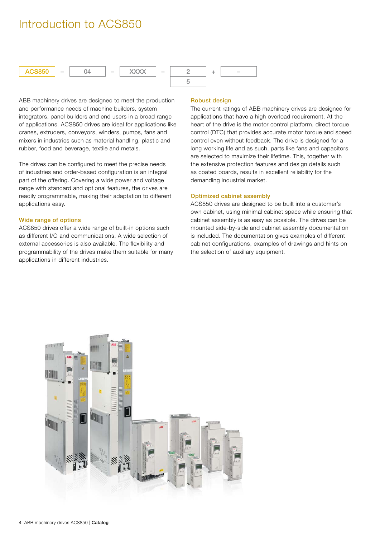# Introduction to ACS850



ABB machinery drives are designed to meet the production and performance needs of machine builders, system integrators, panel builders and end users in a broad range of applications. ACS850 drives are ideal for applications like cranes, extruders, conveyors, winders, pumps, fans and mixers in industries such as material handling, plastic and rubber, food and beverage, textile and metals.

The drives can be configured to meet the precise needs of industries and order-based configuration is an integral part of the offering. Covering a wide power and voltage range with standard and optional features, the drives are readily programmable, making their adaptation to different applications easy.

#### **Wide range of options**

ACS850 drives offer a wide range of built-in options such as different I/O and communications. A wide selection of external accessories is also available. The flexibility and programmability of the drives make them suitable for many applications in different industries.

### **Robust design**

The current ratings of ABB machinery drives are designed for applications that have a high overload requirement. At the heart of the drive is the motor control platform, direct torque control (DTC) that provides accurate motor torque and speed control even without feedback. The drive is designed for a long working life and as such, parts like fans and capacitors are selected to maximize their lifetime. This, together with the extensive protection features and design details such as coated boards, results in excellent reliability for the demanding industrial market.

#### **Optimized cabinet assembly**

ACS850 drives are designed to be built into a customer's own cabinet, using minimal cabinet space while ensuring that cabinet assembly is as easy as possible. The drives can be mounted side-by-side and cabinet assembly documentation is included. The documentation gives examples of different cabinet configurations, examples of drawings and hints on the selection of auxiliary equipment.

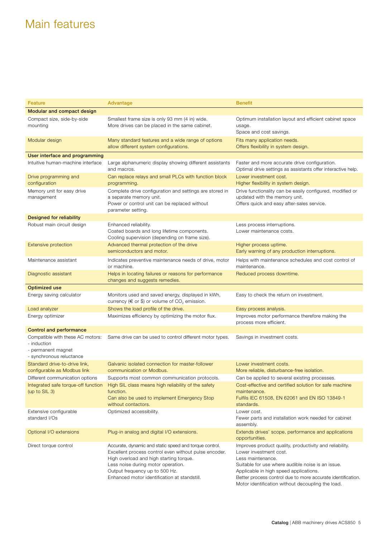# Main features

| Feature                                                                                           | Advantage                                                                                                                                                                                                                                                                          | <b>Benefit</b>                                                                                                                                                                                                                                                                                                            |
|---------------------------------------------------------------------------------------------------|------------------------------------------------------------------------------------------------------------------------------------------------------------------------------------------------------------------------------------------------------------------------------------|---------------------------------------------------------------------------------------------------------------------------------------------------------------------------------------------------------------------------------------------------------------------------------------------------------------------------|
| Modular and compact design                                                                        |                                                                                                                                                                                                                                                                                    |                                                                                                                                                                                                                                                                                                                           |
| Compact size, side-by-side<br>mounting                                                            | Smallest frame size is only 93 mm (4 in) wide.<br>More drives can be placed in the same cabinet.                                                                                                                                                                                   | Optimum installation layout and efficient cabinet space<br>usage.<br>Space and cost savings.                                                                                                                                                                                                                              |
| Modular design                                                                                    | Many standard features and a wide range of options<br>allow different system configurations.                                                                                                                                                                                       | Fits many application needs.<br>Offers flexibility in system design.                                                                                                                                                                                                                                                      |
| User interface and programming                                                                    |                                                                                                                                                                                                                                                                                    |                                                                                                                                                                                                                                                                                                                           |
| Intuitive human-machine interface                                                                 | Large alphanumeric display showing different assistants<br>and macros.                                                                                                                                                                                                             | Faster and more accurate drive configuration.<br>Optimal drive settings as assistants offer interactive help.                                                                                                                                                                                                             |
| Drive programming and<br>configuration                                                            | Can replace relays and small PLCs with function block<br>programming.                                                                                                                                                                                                              | Lower investment cost.<br>Higher flexibility in system design.                                                                                                                                                                                                                                                            |
| Memory unit for easy drive<br>management                                                          | Complete drive configuration and settings are stored in<br>a separate memory unit.<br>Power or control unit can be replaced without<br>parameter setting.                                                                                                                          | Drive functionality can be easily configured, modified or<br>updated with the memory unit.<br>Offers quick and easy after-sales service.                                                                                                                                                                                  |
| Designed for reliability                                                                          |                                                                                                                                                                                                                                                                                    |                                                                                                                                                                                                                                                                                                                           |
| Robust main circuit design                                                                        | Enhanced reliability.<br>Coated boards and long lifetime components.<br>Cooling supervision (depending on frame size).                                                                                                                                                             | Less process interruptions.<br>Lower maintenance costs.                                                                                                                                                                                                                                                                   |
| <b>Extensive protection</b>                                                                       | Advanced thermal protection of the drive<br>semiconductors and motor.                                                                                                                                                                                                              | Higher process uptime.<br>Early warning of any production interruptions.                                                                                                                                                                                                                                                  |
| Maintenance assistant                                                                             | Indicates preventive maintenance needs of drive, motor<br>or machine.                                                                                                                                                                                                              | Helps with maintenance schedules and cost control of<br>maintenance.                                                                                                                                                                                                                                                      |
| Diagnostic assistant                                                                              | Helps in locating failures or reasons for performance<br>changes and suggests remedies.                                                                                                                                                                                            | Reduced process downtime.                                                                                                                                                                                                                                                                                                 |
| <b>Optimized use</b>                                                                              |                                                                                                                                                                                                                                                                                    |                                                                                                                                                                                                                                                                                                                           |
| Energy saving calculator                                                                          | Monitors used and saved energy, displayed in kWh,<br>currency ( $\in$ or \$) or volume of CO <sub>2</sub> emission.                                                                                                                                                                | Easy to check the return on investment.                                                                                                                                                                                                                                                                                   |
| Load analyzer                                                                                     | Shows the load profile of the drive.                                                                                                                                                                                                                                               | Easy process analysis.                                                                                                                                                                                                                                                                                                    |
| Energy optimizer                                                                                  | Maximizes efficiency by optimizing the motor flux.                                                                                                                                                                                                                                 | Improves motor performance therefore making the<br>process more efficient.                                                                                                                                                                                                                                                |
| <b>Control and performance</b>                                                                    |                                                                                                                                                                                                                                                                                    |                                                                                                                                                                                                                                                                                                                           |
| Compatible with these AC motors:<br>- induction<br>- permanent magnet<br>- synchronous reluctance | Same drive can be used to control different motor types.                                                                                                                                                                                                                           | Savings in investment costs.                                                                                                                                                                                                                                                                                              |
| Standard drive-to-drive link,<br>configurable as Modbus link                                      | Galvanic isolated connection for master-follower<br>communication or Modbus.                                                                                                                                                                                                       | Lower investment costs.<br>More reliable, disturbance-free isolation.                                                                                                                                                                                                                                                     |
| Different communication options                                                                   | Supports most common communication protocols.                                                                                                                                                                                                                                      | Can be applied to several existing processes.                                                                                                                                                                                                                                                                             |
| Integrated safe torque-off function<br>(up to $SL_3$ )                                            | High SIL class means high reliability of the safety<br>function.<br>Can also be used to implement Emergency Stop<br>without contactors.                                                                                                                                            | Cost-effective and certified solution for safe machine<br>maintenance.<br>Fulfils IEC 61508, EN 62061 and EN ISO 13849-1<br>standards.                                                                                                                                                                                    |
| Extensive configurable<br>standard I/Os                                                           | Optimized accessibility.                                                                                                                                                                                                                                                           | Lower cost.<br>Fewer parts and installation work needed for cabinet<br>assembly.                                                                                                                                                                                                                                          |
| Optional I/O extensions                                                                           | Plug-in analog and digital I/O extensions.                                                                                                                                                                                                                                         | Extends drives' scope, performance and applications<br>opportunities.                                                                                                                                                                                                                                                     |
| Direct torque control                                                                             | Accurate, dynamic and static speed and torque control.<br>Excellent process control even without pulse encoder.<br>High overload and high starting torque.<br>Less noise during motor operation.<br>Output frequency up to 500 Hz.<br>Enhanced motor identification at standstill. | Improves product quality, productivity and reliability.<br>Lower investment cost.<br>Less maintenance.<br>Suitable for use where audible noise is an issue.<br>Applicable in high speed applications.<br>Better process control due to more accurate identification.<br>Motor identification without decoupling the load. |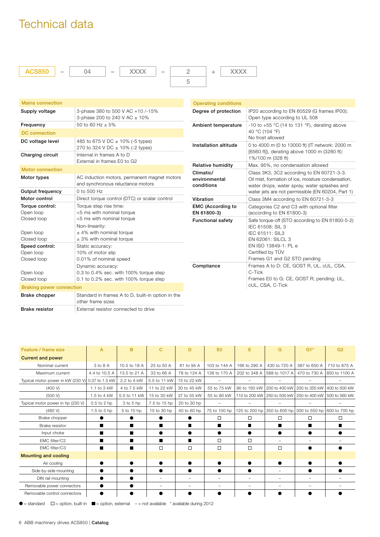# Technical data



| <b>Mains connection</b>                    |                                                                                                           | <b>Operating conditions</b>              |                                                                                                                                                 |
|--------------------------------------------|-----------------------------------------------------------------------------------------------------------|------------------------------------------|-------------------------------------------------------------------------------------------------------------------------------------------------|
| Supply voltage                             | 3-phase 380 to 500 V AC +10 /-15%<br>3-phase 200 to 240 V AC ± 10%                                        |                                          | IP20 according to EN 60529 (G frames IP00);<br>Open type according to UL 508                                                                    |
| Frequency                                  | 50 to 60 Hz $\pm$ 5%                                                                                      | Ambient temperature                      | -10 to +55 $\degree$ C (14 to 131 $\degree$ F), derating above                                                                                  |
| <b>DC</b> connection                       |                                                                                                           |                                          | 40 °C (104 °F)                                                                                                                                  |
| DC voltage level                           | 485 to 675 V DC ± 10% (-5 types)<br>270 to 324 V DC ± 10% (-2 types)                                      | Installation altitude                    | No frost allowed<br>0 to 4000 m (0 to 13000 ft) (IT network: 2000 m                                                                             |
| Charging circuit                           | Internal in frames A to D<br>External in frames E0 to G2                                                  |                                          | [6560 ft]), derating above 1000 m (3280 ft):<br>1%/100 m (328 ft)                                                                               |
| <b>Motor connection</b>                    |                                                                                                           | <b>Relative humidity</b>                 | Max. 95%, no condensation allowed                                                                                                               |
| Motor types                                | AC induction motors, permanent magnet motors<br>and synchronous reluctance motors                         | Climatic/<br>environmental<br>conditions | Class 3K3, 3C2 according to EN 60721-3-3.<br>Oil mist, formation of ice, moisture condensation,<br>water drops, water spray, water splashes and |
| Output frequency                           | 0 to 500 Hz                                                                                               |                                          | water jets are not permissible (EN 60204, Part 1)                                                                                               |
| Motor control                              | Direct torque control (DTC) or scalar control                                                             | Vibration                                | Class 3M4 according to EN 60721-3-3                                                                                                             |
| Torque control:<br>Open loop               | Torque step rise time:<br><5 ms with nominal torque                                                       | <b>EMC (According to</b><br>EN 61800-3)  | Categories C2 and C3 with optional filter<br>(according to EN 61800-3)                                                                          |
| Closed loop<br>Open loop<br>Closed loop    | <5 ms with nominal torque<br>Non-linearity:<br>$±$ 4% with nominal torque<br>$\pm$ 3% with nominal torque | <b>Functional safety</b>                 | Safe torque-off (STO according to EN 61800-5-2)<br>IEC 61508: SIL 3<br>IEC 61511: SIL3<br>EN 62061: SILCL 3                                     |
| Speed control:<br>Open loop<br>Closed loop | Static accuracy:<br>10% of motor slip<br>0.01% of nominal speed                                           |                                          | EN ISO 13849-1: PL e<br>Certified by TÜV<br>Frames G1 and G2 STO pending                                                                        |
| Open loop<br>Closed loop                   | Dynamic accuracy:<br>0.3 to 0.4% sec. with 100% torque step<br>0.1 to 0.2% sec. with 100% torque step     | Compliance                               | Frames A to D: CE, GOST R, UL, cUL, CSA,<br>C-Tick<br>Frames E0 to G: CE, GOST R; pending: UL,                                                  |
| <b>Braking power connection</b>            |                                                                                                           |                                          | cUL, CSA, C-Tick                                                                                                                                |
| Brake chopper                              | Standard in frames A to D, built-in option in the<br>other frame sizes                                    |                                          |                                                                                                                                                 |

**Brake resistor External resistor connected to drive** 

| Feature / frame size                             | $\overline{A}$ | в            | C            | D                        | E <sub>0</sub>           | Е                        | G             | $G1*$                                                   | G <sub>2</sub> |
|--------------------------------------------------|----------------|--------------|--------------|--------------------------|--------------------------|--------------------------|---------------|---------------------------------------------------------|----------------|
| <b>Current and power</b>                         |                |              |              |                          |                          |                          |               |                                                         |                |
| Nominal current                                  | 3 to 8 A       | 10.5 to 18 A | 25 to 50 A   | 61 to 94 A               | 103 to 144 A             | 166 to 290 A             | 430 to 720 A  | 387 to 650 A                                            | 710 to 875 A   |
| Maximum current                                  | 4.4 to 10.5 A  | 13.5 to 21 A | 33 to 66 A   | 78 to 124 A              | 138 to 170 A             | 202 to 348 A             | 588 to 1017 A | 470 to 730 A                                            | 850 to 1100 A  |
| Typical motor power in kW (230 V) 0.37 to 1.5 kW |                | 2.2 to 4 kW  | 5.5 to 11 kW | 15 to 22 kW              |                          |                          |               |                                                         |                |
| (400 V)                                          | 1.1 to 3 kW    | 4 to 7.5 kW  | 11 to 22 kW  | 30 to 45 kW              | 55 to 75 kW              | 90 to 160 kW             |               | 200 to 400 kW   200 to 355 kW   400 to 500 kW           |                |
| (500 V)                                          | 1.5 to 4 kW    | 5.5 to 11 kW | 15 to 30 kW  | 37 to 55 kW              | 55 to 90 kW              |                          |               | 110 to 200 kW 250 to 500 kW 250 to 400 kW 500 to 560 kW |                |
| Typical motor power in hp (230 V)                | 0.5 to 2 hp    | 3 to 5 hp    | 7.5 to 15 hp | 20 to 30 hp              |                          |                          |               |                                                         |                |
| (480 V)                                          | 1.5 to 5 hp    | 5 to 10 hp   | 15 to 30 hp  | 40 to 60 hp              | 75 to 100 hp             |                          |               | 125 to 200 hp 350 to 600 hp 300 to 550 hp 600 to 700 hp |                |
| Brake chopper                                    |                |              |              |                          | □                        | $\Box$                   | □             | $\Box$                                                  | $\Box$         |
| Brake resistor                                   | п              | ■            | ■            | ■                        | ■                        | ■                        |               | ■                                                       |                |
| Input choke                                      | п              | ш            |              |                          |                          |                          |               |                                                         |                |
| EMC filter/C2                                    |                | ■            | ■            | ■                        | □                        | □                        | -             |                                                         |                |
| EMC filter/C3                                    | ■              |              | $\Box$       | $\Box$                   | $\Box$                   | $\Box$                   | $\Box$        |                                                         |                |
| <b>Mounting and cooling</b>                      |                |              |              |                          |                          |                          |               |                                                         |                |
| Air cooling                                      |                |              |              |                          |                          |                          |               |                                                         |                |
| Side-by-side mounting                            |                |              |              |                          | $\bullet$                |                          | -             | ●                                                       |                |
| DIN rail mounting                                | $\bullet$      |              |              | $\overline{\phantom{0}}$ | $\overline{\phantom{m}}$ | $\overline{\phantom{0}}$ |               |                                                         |                |
| Removable power connectors                       | $\bullet$      |              |              | $\overline{\phantom{0}}$ | $\overline{\phantom{a}}$ | $\overline{\phantom{0}}$ | -             |                                                         |                |
| Removable control connectors                     |                |              |              |                          |                          |                          |               |                                                         |                |

 $\bullet$  = standard  $\Box$  = option, built-in  $\blacksquare$  = option, external – = not available  $^*$  available during 2012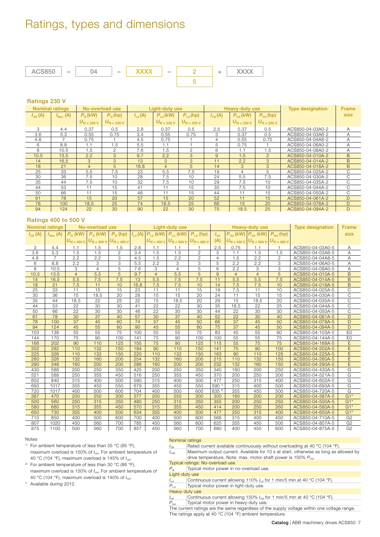# Ratings, types and dimensions



### **Ratings 230 V**

|              | <b>Nominal ratings</b> |                        | No-overload use        | Light-duty use     |                        |                        |                    | Heavy-duty use         |                                | <b>Type designation</b> | <b>Frame</b> |
|--------------|------------------------|------------------------|------------------------|--------------------|------------------------|------------------------|--------------------|------------------------|--------------------------------|-------------------------|--------------|
| $I_{2N}$ (A) | $I_{\text{Max}}(A)$    | $P_{N}$ (kW)           | $P_{N}$ (hp)           | $I_{\text{Ld}}(A)$ | $P_{\text{Ld}}$ (kW)   | $P_{\rm Ld}$ (hp)      | $I_{\text{Hd}}(A)$ | $P_{\text{Hd}}$ (kW)   | $P_{\text{Hd}}$ (hp)           |                         | size         |
|              |                        | $U_{\text{N}}$ = 230 V | $U_{\text{N}}$ = 230 V |                    | $U_{\text{N}}$ = 230 V | $U_{\text{N}}$ = 230 V |                    | $U_{\text{N}}$ = 230 V | $U_{\text{N} = 230 \text{ V}}$ |                         |              |
| 3            | 4.4                    | 0.37                   | 0.5                    | 2.8                | 0.37                   | 0.5                    | 2.5                | 0.37                   | 0.5                            | ACS850-04-03A0-2        | A            |
| 3.6          | 5.3                    | 0.55                   | 0.75                   | 3.4                | 0.55                   | 0.75                   | 3                  | 0.37                   | 0.5                            | ACS850-04-03A6-2        | A            |
| 4.8          |                        | 0.75                   |                        | 4.5                | 0.75                   |                        | 4                  | 0.55                   | 0.75                           | ACS850-04-04A8-2        | Α            |
| 6            | 8.8                    | 1.1                    | 1.5                    | 5.5                | 1.1                    |                        | 5                  | 0.75                   |                                | ACS850-04-06A0-2        | Α            |
| 8            | 10.5                   | 1.5                    | 2                      | 7.6                | 1.5                    | $\mathfrak{D}$         | 6                  | 1.1                    | 1.5                            | ACS850-04-08A0-2        | Α            |
| 10.5         | 13.5                   | 2.2                    | 3                      | 9.7                | 2.2                    | 3                      | 9                  | 1.5                    | $\overline{2}$                 | ACS850-04-010A-2        | B            |
| 14           | 16.5                   | 3                      | 3                      | 13                 | 3                      | 3                      | 11                 | 2.2                    | 3                              | ACS850-04-014A-2        | <sub>B</sub> |
| 18           | 21                     | $\overline{4}$         | 5                      | 16.8               | $\overline{4}$         | 5                      | 14                 | 3                      | $\mathcal{S}$                  | ACS850-04-018A-2        | B.           |
| 25           | 33                     | 5.5                    | 7.5                    | 23                 | 5.5                    | 7.5                    | 19                 | 4                      | 5                              | ACS850-04-025A-2        | C.           |
| 30           | 36                     | 7.5                    | 10                     | 28                 | 7.5                    | 10                     | 24                 | 5.5                    | 7.5                            | ACS850-04-030A-2        | C            |
| 35           | 44                     | 7.5                    | 10                     | 32                 | 7.5                    | 10                     | 29                 | 7.5                    | 10                             | ACS850-04-035A-2        | C            |
| 44           | 53                     | 11                     | 15                     | 41                 | 11                     | 15                     | 35                 | 7.5                    | 10                             | ACS850-04-044A-2        | C            |
| 50           | 66                     | 11                     | 15                     | 46                 | 11                     | 15                     | 44                 | 11                     | 15                             | ACS850-04-050A-2        | C.           |
| 61           | 78                     | 15                     | 20                     | 57                 | 15                     | 20                     | 52                 | 11                     | 15                             | ACS850-04-061A-2        | D            |
| 78           | 100                    | 18.5                   | 25                     | 74                 | 18.5                   | 25                     | 66                 | 15                     | 20                             | ACS850-04-078A-2        | D            |
| 94           | 124                    | 22                     | 30                     | 90                 | 22                     | 30                     | 75                 | 18.5                   | 25                             | ACS850-04-094A-2        | D            |

#### **Ratings 400 to 500 V**

|                | <b>Nominal ratings</b> |                                | No-overload use                |                        | Light-duty use     |                        |                                | <b>Heavy-duty use</b>  |                   |                        |                               | <b>Type designation</b>        | <b>Frame</b>     |                         |
|----------------|------------------------|--------------------------------|--------------------------------|------------------------|--------------------|------------------------|--------------------------------|------------------------|-------------------|------------------------|-------------------------------|--------------------------------|------------------|-------------------------|
| $I_{2N}$ (A)   | $I_{\text{Max}}(A)$    | $P_{N}$ (kW)                   | $P_{N}$ (kW)                   | $P_{N}$ (hp)           | $I_{\text{Ld}}(A)$ | $P_{\text{Ld}}$ (kW)   | $P_{\text{Ld}}$ (kW)           | $P_{\text{Ld}}$ (hp)   | $I_{\text{Hd}}$   | $P_{\text{Hd}}$ (kW)   | $P_{\text{Hd}}$ (kW)          | $P_{\text{Hd}}$ (hp)           |                  | size                    |
|                |                        | $U_{\text{N} = 400 \text{ V}}$ | $U_{\text{N} = 500 \text{ V}}$ | $U_{\text{N}}$ = 480 V |                    | $U_{\text{N}}$ = 400 V | $U_{\text{N} = 500 \text{ V}}$ | $U_{\text{N}}$ = 480 V | (A)               | $U_{\text{N}}$ = 400 V | $U_{\text{N} = 500 \text{V}}$ | $U_{\text{N} = 480 \text{ V}}$ |                  |                         |
| 3              | 4.4                    | 1.1                            | 1.5                            | 1.5                    | 2.8                | 1.1                    | 1.1                            | $\mathbf{1}$           | 2.5               | 0.75                   | 1.1                           | 1                              | ACS850-04-03A0-5 | Α                       |
| 3.6            | 5.3                    | 1.5                            | 1.5                            | $\overline{2}$         | 3.4                | 1.5                    | 1.5                            | $\overline{2}$         | 3                 | 1.1                    | 1.5                           | 1.5                            | ACS850-04-03A6-5 | A                       |
| 4.8            | $\overline{7}$         | 2.2                            | 2.2                            | 3                      | 4.5                | 1.5                    | 2.2                            | $\overline{c}$         | $\overline{4}$    | 1.5                    | 2.2                           | $\overline{2}$                 | ACS850-04-04A8-5 | Α                       |
| 6              | 8.8                    | 2.2                            | 3                              | 3                      | 5.5                | 2.2                    | 3                              | 3                      | 5                 | 2.2                    | 2.2                           | 3                              | ACS850-04-06A0-5 | Α                       |
| $\overline{8}$ | 10.5                   | 3                              | $\overline{4}$                 | 5                      | 7.6                | 3                      | $\overline{4}$                 | 5                      | 6                 | 2.2                    | 3                             | 3                              | ACS850-04-08A0-5 | Α                       |
| 10.5           | 13.5                   | $\overline{4}$                 | 5.5                            | 5                      | 9.7                | $\overline{4}$         | 5.5                            | 5                      | 9                 | $\overline{4}$         | $\overline{4}$                | 5                              | ACS850-04-010A-5 | B                       |
| 14             | 16.5                   | 5.5                            | 7.5                            | 7.5                    | 13                 | 5.5                    | 7.5                            | 7.5                    | 11                | 5.5                    | 5.5                           | 7.5                            | ACS850-04-014A-5 | $\overline{B}$          |
| 18             | 21                     | 7.5                            | 11                             | 10                     | 16.8               | 7.5                    | 7.5                            | 10                     | 14                | 7.5                    | 7.5                           | 10                             | ACS850-04-018A-5 | $\overline{B}$          |
| 25             | 33                     | 11                             | 15                             | 15                     | 23                 | 11                     | 11                             | 15                     | 19                | 7.5                    | 11                            | 10                             | ACS850-04-025A-5 | $\overline{C}$          |
| 30             | 36                     | 15                             | 18.5                           | 20                     | 28                 | 15                     | 15                             | 20                     | 24                | 11                     | 15                            | 15                             | ACS850-04-030A-5 | $\overline{C}$          |
| 35             | 44                     | 18.5                           | 22                             | 25                     | 32                 | 15                     | 18.5                           | 20                     | 29                | 15                     | 18.5                          | 20                             | ACS850-04-035A-5 | $\mathsf C$             |
| 44             | 53                     | 22                             | 30                             | 30                     | 41                 | 22                     | 22                             | 30                     | 35                | 18.5                   | 22                            | 25                             | ACS850-04-044A-5 | $\mathsf C$             |
| 50             | 66                     | 22                             | 30                             | 30                     | 46                 | 22                     | 30                             | 30                     | 44                | 22                     | 30                            | 30                             | ACS850-04-050A-5 | C                       |
| 61             | 78                     | 30                             | 37                             | 40                     | 57                 | 30                     | 37                             | 40                     | 52                | 22                     | 30                            | 40                             | ACS850-04-061A-5 | D                       |
| 78             | 100                    | 37                             | 45                             | 60                     | 74                 | 37                     | 45                             | 50                     | 66                | 37                     | 45                            | 50                             | ACS850-04-078A-5 | D                       |
| 94             | 124                    | 45                             | 55                             | 60                     | 90                 | 45                     | 55                             | 60                     | 75                | 37                     | 45                            | 50                             | ACS850-04-094A-5 | D                       |
| 103            | 138                    | 55                             | 55                             | 75                     | 100                | 55                     | 55                             | 75                     | 83                | 45                     | 55                            | 60                             | ACS850-04-103A-5 | E <sub>0</sub>          |
| 144            | 170                    | 75                             | 90                             | 100                    | 141                | 75                     | 90                             | 100                    | 100               | 55                     | 55                            | 75                             | ACS850-04-144A-5 | E <sub>0</sub>          |
| 166            | 202                    | 90                             | 110                            | 125                    | 155                | 75                     | 90                             | 125                    | 115               | 55                     | 75                            | 75                             | ACS850-04-166A-5 | E                       |
| 202            | 282                    | 110                            | 132                            | 150                    | 184                | 90                     | 110                            | 150                    | 141               | 75                     | 90                            | 100                            | ACS850-04-202A-5 | $\overline{E}$          |
| 225            | 326                    | 110                            | 132                            | 150                    | 220                | 110                    | 132                            | 150                    | 163               | 90                     | 110                           | 125                            | ACS850-04-225A-5 | E                       |
| 260            | 326                    | 132                            | 160                            | 200                    | 254                | 132                    | 160                            | 200                    | 215               | 110                    | 132                           | 150                            | ACS850-04-260A-5 | E                       |
| 290            | 348                    | 160                            | 200                            | 200                    | 286                | 160                    | 200                            | 200                    | 232               | 132                    | 160                           | 150                            | ACS850-04-290A-5 | $\overline{\mathsf{E}}$ |
| 430            | 588                    | 200                            | 250                            | 350                    | 425                | 200                    | 250                            | 350                    | 340               | 160                    | 200                           | 250                            | ACS850-04-430A-5 | G                       |
| 521            | 588                    | 250                            | 355                            | 450                    | 516                | 250                    | 355                            | 450                    | 370               | 200                    | 250                           | 300                            | ACS850-04-521A-5 | G                       |
| 602            | 840                    | 315                            | 400                            | 500                    | 590                | 315                    | 400                            | 500                    | 477               | 250                    | 315                           | 400                            | ACS850-04-602A-5 | G                       |
| 693            | 1017                   | 355                            | 450                            | 550                    | 679                | 355                    | 450                            | 550                    | 590 1)            | 315                    | 400                           | 500                            | ACS850-04-693A-5 | G                       |
| 720            | 1017                   | 400                            | 500                            | 600                    | 704                | 400                    | 500                            | 600                    | 635 <sup>2)</sup> | 355                    | 450                           | 500                            | ACS850-04-720A-5 | G                       |
| 387            | 470                    | 200                            | 250                            | 300                    | 377                | 200                    | 250                            | 300                    | 300               | 160                    | 200                           | 200                            | ACS850-04-387A-5 | $G1*$                   |
| 500            | 560                    | 250                            | 315                            | 350                    | 480                | 250                    | 315                            | 350                    | 355               | 200                    | 250                           | 250                            | ACS850-04-500A-5 | $G1*$                   |
| 580            | 680                    | 315                            | 355                            | 450                    | 570                | 315                    | 355                            | 450                    | 414               | 200                    | 250                           | 350                            | ACS850-04-580A-5 | $G1*$                   |
| 650            | 730                    | 355                            | 400                            | 500                    | 634                | 355                    | 400                            | 500                    | 477               | 250                    | 315                           | 400                            | ACS850-04-650A-5 | $G1*$                   |
| 710            | 850                    | 400                            | 500                            | 600                    | 700                | 400                    | 500                            | 600                    | 566               | 315                    | 400                           | 450                            | ACS850-04-710A-5 | G <sub>2</sub>          |
| 807            | 1020                   | 450                            | 560                            | 700                    | 785                | 450                    | 560                            | 600                    | 625               | 355                    | 450                           | 500                            | ACS850-04-807A-5 | G <sub>2</sub>          |
| 875            | 1100                   | 500                            | 560                            | 700                    | 857                | 450                    | 560                            | 700                    | 680               | 400                    | 450                           | 600                            | ACS850-04-875A-5 | G2                      |

#### Notes

<sup>1)</sup> For ambient temperature of less than 35 °C (95 °F), maximum overload is 150% of  $I_{\text{Hd}}$ . For ambient temperature of 40 °C (104 °F), maximum overload is 145% of  $I_{\text{Hd}}$ .

<sup>2)</sup> For ambient temperature of less than 30 °C (86 °F), maximum overload is 150% of  $I_{\text{Hd}}$ . For ambient temperature of 40 °C (104 °F), maximum overload is 140% of  $I_{\text{Hd}}$ .

\* Available during 2012.

#### Nominal ratings

*I*<sub>2N</sub> Rated current available continuously without overloading at 40 °C (104 °F).

I<sub>max</sub> Maximum output current. Available for 10 s at start, otherwise as long as allowed by drive temperature. Note: max. motor shaft power is 150%  $P_{\text{Hd}}$ .

Typical ratings: No-overload use

 $P_N$  Typical motor power in no-overload use.

Light-duty use

*I*<sub>Ld</sub> Continuous current allowing 110%  $I_{\text{Ld}}$  for 1 min/5 min at 40 °C (104 °F).<br> $P_{\text{Ld}}$  Typical motor power in light-duty use. **PLACE Typical motor power in light-duty use.** 

Heavy-duty use

*I*Hd Continuous current allowing 150% *I*<sub>Hd</sub> for 1 min/5 min at 40 °C (104 °F).

*P<sub>Hd</sub>* Typical motor power in heavy-duty use.

The current ratings are the same regardless of the supply voltage within one voltage range. The ratings apply at 40 °C (104 °F) ambient temperature.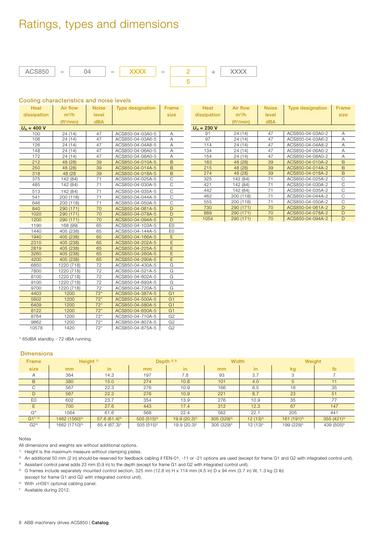# Ratings, types and dimensions



#### **Cooling characteristics and noise levels**

| <b>Heat</b>     | <b>Air flow</b>       | <b>Noise</b> | <b>Type designation</b> | <b>Frame</b>   |
|-----------------|-----------------------|--------------|-------------------------|----------------|
| dissipation     | $m^3/h$               | level        |                         | size           |
|                 | ft <sup>3</sup> /min) | <b>dBA</b>   |                         |                |
| $U_{N}$ = 400 V |                       |              |                         |                |
| 100             | 24 (14)               | 47           | ACS850-04-03A0-5        | Α              |
| 106             | 24 (14)               | 47           | ACS850-04-03A6-5        | Α              |
| 126             | 24 (14)               | 47           | ACS850-04-04A8-5        | A              |
| 148             | 24 (14)               | 47           | ACS850-04-06A0-5        | A              |
| 172             | 24 (14)               | 47           | ACS850-04-08A0-5        | A              |
| 212             | 48 (28)               | 39           | ACS850-04-010A-5        | B              |
| 250             | 48 (28)               | 39           | ACS850-04-014A-5        | B              |
| 318             | 48 (28                | 39           | ACS850-04-018A-5        | B              |
| 375             | 142 (84)              | 71           | ACS850-04-025A-5        | C              |
| 485             | 142 (84)              | 71           | ACS850-04-030A-5        | C              |
| 513             | 142 (84)              | 71           | ACS850-04-035A-5        | C              |
| 541             | 200 (118)             | 71           | ACS850-04-044A-5        | C              |
| 646             | 200 (118)             | 71           | ACS850-04-050A-5        | C              |
| 840             | 290 (171)             | 70           | ACS850-04-061A-5        | D              |
| 1020            | 290 (171)             | 70           | ACS850-04-078A-5        | D              |
| 1200            | 290 (171)             | 70           | ACS850-04-094A-5        | D              |
| 1190            | 168 (99)              | 65           | ACS850-04-103A-5        | E <sub>0</sub> |
| 1440            | 405 (238)             | 65           | ACS850-04-144A-5        | E <sub>0</sub> |
| 1940            | 405 (238)             | 65           | ACS850-04-166A-5        | E              |
| 2310            | 405 (238)             | 65           | ACS850-04-202A-5        | E              |
| 2819            | 405 (238)             | 65           | ACS850-04-225A-5        | E              |
| 3260            | 405 (238)             | 65           | ACS850-04-260A-5        | E              |
| 4200            | 405 (238)             | 65           | ACS850-04-290A-5        | Ē              |
| 6850            | 1220 (718)            | 72           | ACS850-04-430A-5        | G              |
| 7800            | 1220 (718)            | 72           | ACS850-04-521A-5        | G              |
| 8100            | 1220 (718)            | 72           | ACS850-04-602A-5        | G              |
| 9100            | 1220 (718)            | 72           | ACS850-04-693A-5        | G              |
| 9700            | 1220 (718)            | 72           | ACS850-04-720A-5        | G              |
| 4403            | 1200                  | $72*$        | ACS850-04-387A-5        | G <sub>1</sub> |
| 5602            | 1200                  | $72*$        | ACS850-04-500A-5        | G <sub>1</sub> |
| 6409            | 1200                  | $72*$        | ACS850-04-580A-5        | G <sub>1</sub> |
| 8122            | 1200                  | $72*$        | ACS850-04-650A-5        | G <sub>1</sub> |
| 8764            | 1200                  | $72*$        | ACS850-04-710A-5        | G <sub>2</sub> |
| 9862            | 1200                  | $72*$        | ACS850-04-807A-5        | G <sub>2</sub> |
| 10578           | 1420                  | $72*$        | ACS850-04-875A-5        | G <sub>2</sub> |

| Heat            | Air flow              | <b>Noise</b> | <b>Type designation</b> | <b>Frame</b> |
|-----------------|-----------------------|--------------|-------------------------|--------------|
| dissipation     | $m^3/h$               | level        |                         | size         |
|                 | (t <sup>3</sup> /min) | <b>dBA</b>   |                         |              |
| $U_{N} = 230 V$ |                       |              |                         |              |
| 91              | 24 (14)               | 47           | ACS850-04-03A0-2        | Α            |
| 97              | 24 (14)               | 47           | ACS850-04-03A6-2        | Α            |
| 114             | 24 (14)               | 47           | ACS850-04-04A8-2        | Α            |
| 134             | 24 (14)               | 47           | ACS850-04-06A0-2        | Α            |
| 154             | 24 (14)               | 47           | ACS850-04-08A0-2        | Α            |
| 183             | 48 (28)               | 39           | ACS850-04-010A-2        | B            |
| 215             | 48 (28)               | 39           | ACS850-04-014A-2        | B            |
| 274             | 48 (28)               | 39           | ACS850-04-018A-2        | B            |
| 325             | 142 (84)              | 71           | ACS850-04-025A-2        | С            |
| 421             | 142 (84)              | 71           | ACS850-04-030A-2        | С            |
| 442             | 142 (84)              | 71           | ACS850-04-035A-2        | C            |
| 462             | 200 (118)             | 71           | ACS850-04-044A-2        | С            |
| 555             | 200 (118)             | 71           | ACS850-04-050A-2        | С            |
| 730             | 290 (171)             | 70           | ACS850-04-061A-2        | D            |
| 889             | 290 (171)             | 70           | ACS850-04-078A-2        | D            |
| 1054            | 290 (171)             | 70           | ACS850-04-094A-2        | D            |

\* 65dBA standby - 72 dBA running.

#### **Dimensions**

| <b>Frame</b>   | Height $1$                |                          |                | Depth $233$      | <b>Width</b>           |              | Weight                 |                        |
|----------------|---------------------------|--------------------------|----------------|------------------|------------------------|--------------|------------------------|------------------------|
| size           | mm                        | in.                      | mm             | in.              | mm                     | in           | kg                     | $\mathbf{I}$           |
| A              | 364                       | 14.3                     | 197            | 7.8              | 93                     | 3.7          | З                      |                        |
| B              | 380                       | 15.0                     | 274            | 10.8             | 101                    | 4.0          | 5                      | 11                     |
| C              | 567                       | 22.3                     | 276            | 10.9             | 166                    | 6.5          | 16                     | 35                     |
| D              | 567                       | 22.3                     | 276            | 10.9             | 221                    | 8.7          | 23                     | 51                     |
| E <sub>0</sub> | 602                       | 23.7                     | 354            | 13.9             | 276                    | 10.9         | 35                     | 77                     |
| E              | 700                       | 27.6                     | 443            | 17.4             | 312                    | 12.3         | 67                     | 147                    |
| G <sup>4</sup> | 1564                      | 61.6                     | 568            | 22.4             | 562                    | 22.1         | 205                    | 441                    |
| $G1^{*4}$      | 1462 (1560) <sup>5)</sup> | $57.6(61.4)^5$           | $505(515)^{5}$ | $19.9(20.3)^{5}$ | $305(329)^{5}$         | $12(13)^{5}$ | $161 (191)^{5}$        | 355 $(421)^{5}$        |
| $G2^{4}$       | 1662 (1710) <sup>5)</sup> | 65.4 (67.3) <sup>5</sup> | $505(515)^5$   | 19.9 $(20.3)^5$  | 305 (329) <sup>5</sup> | $12(13)^5$   | 199 (229) <sup>5</sup> | 439 (505) <sup>5</sup> |

#### Notes

All dimensions and weights are without additional options.

1) Height is the maximum measure without clamping plates.

<sup>2)</sup> An additional 50 mm (2 in) should be reserved for feedback cabling if FEN-01, -11 or -21 options are used (except for frame G1 and G2 with integrated control unit). <sup>3)</sup> Assistant control panel adds 23 mm (0.9 in) to the depth (except for frame G1 and G2 with integrated control unit).

4) G frames include separately mounted control section, 325 mm (12.8 in) H x 114 mm (4.5 in) D x 94 mm (3.7 in) W, 1.3 kg (3 lb)

(except for frame G1 and G2 with integrated control unit).

5) With +H381 optional cabling panel.

\* Available during 2012.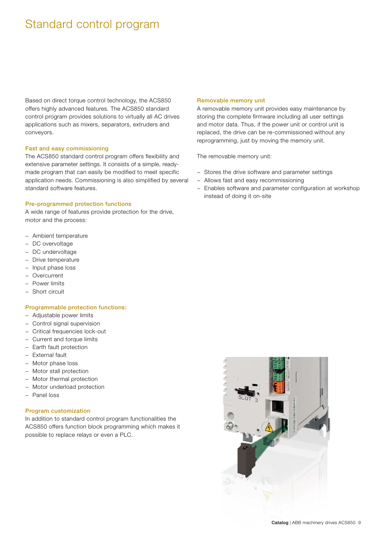# Standard control program

Based on direct torque control technology, the ACS850 offers highly advanced features. The ACS850 standard control program provides solutions to virtually all AC drives applications such as mixers, separators, extruders and conveyors.

#### **Fast and easy commissioning**

The ACS850 standard control program offers flexibility and extensive parameter settings. It consists of a simple, readymade program that can easily be modified to meet specific application needs. Commissioning is also simplified by several standard software features.

#### **Pre-programmed protection functions**

A wide range of features provide protection for the drive, motor and the process:

- − Ambient temperature
- − DC overvoltage
- − DC undervoltage
- − Drive temperature
- − Input phase loss
- Overcurrent
- − Power limits
- − Short circuit

#### **Programmable protection functions:**

- − Adjustable power limits
- − Control signal supervision
- − Critical frequencies lock-out
- − Current and torque limits
- − Earth fault protection
- − External fault
- − Motor phase loss
- − Motor stall protection
- − Motor thermal protection
- − Motor underload protection
- − Panel loss

#### **Program customization**

In addition to standard control program functionalities the ACS850 offers function block programming which makes it possible to replace relays or even a PLC.

#### **Removable memory unit**

A removable memory unit provides easy maintenance by storing the complete firmware including all user settings and motor data. Thus, if the power unit or control unit is replaced, the drive can be re-commissioned without any reprogramming, just by moving the memory unit.

The removable memory unit:

- − Stores the drive software and parameter settings
- − Allows fast and easy recommissioning
- − Enables software and parameter configuration at workshop instead of doing it on-site

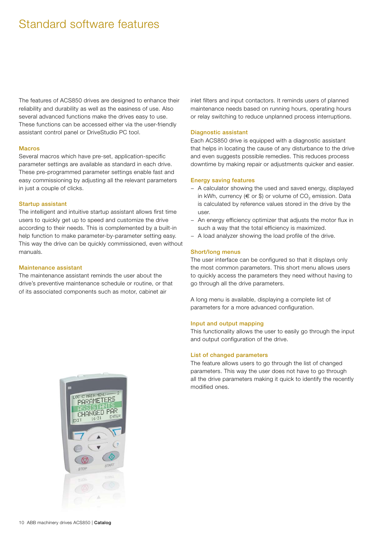# Standard software features

The features of ACS850 drives are designed to enhance their reliability and durability as well as the easiness of use. Also several advanced functions make the drives easy to use. These functions can be accessed either via the user-friendly assistant control panel or DriveStudio PC tool.

#### **Macros**

Several macros which have pre-set, application-specific parameter settings are available as standard in each drive. These pre-programmed parameter settings enable fast and easy commissioning by adjusting all the relevant parameters in just a couple of clicks.

#### **Startup assistant**

The intelligent and intuitive startup assistant allows first time users to quickly get up to speed and customize the drive according to their needs. This is complemented by a built-in help function to make parameter-by-parameter setting easy. This way the drive can be quickly commissioned, even without manuals.

#### **Maintenance assistant**

The maintenance assistant reminds the user about the drive's preventive maintenance schedule or routine, or that of its associated components such as motor, cabinet air

inlet filters and input contactors. It reminds users of planned maintenance needs based on running hours, operating hours or relay switching to reduce unplanned process interruptions.

#### **Diagnostic assistant**

Each ACS850 drive is equipped with a diagnostic assistant that helps in locating the cause of any disturbance to the drive and even suggests possible remedies. This reduces process downtime by making repair or adjustments quicker and easier.

#### **Energy saving features**

- − A calculator showing the used and saved energy, displayed in kWh, currency ( $\in$  or \$) or volume of CO<sub>2</sub> emission. Data is calculated by reference values stored in the drive by the user.
- − An energy efficiency optimizer that adjusts the motor flux in such a way that the total efficiency is maximized.
- − A load analyzer showing the load profile of the drive.

#### **Short/long menus**

The user interface can be configured so that it displays only the most common parameters. This short menu allows users to quickly access the parameters they need without having to go through all the drive parameters.

A long menu is available, displaying a complete list of parameters for a more advanced configuration.

#### **Input and output mapping**

This functionality allows the user to easily go through the input and output configuration of the drive.

#### **List of changed parameters**

The feature allows users to go through the list of changed parameters. This way the user does not have to go through all the drive parameters making it quick to identify the recently modified ones.

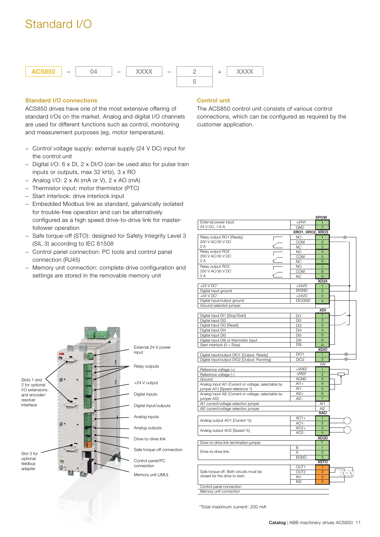# Standard I/O



### **Standard I/O connections**

ACS850 drives have one of the most extensive offering of standard I/Os on the market. Analog and digital I/O channels are used for different functions such as control, monitoring and measurement purposes (eg, motor temperature).

- − Control voltage supply: external supply (24 V DC) input for the control unit
- − Digital I/O: 6 x DI, 2 x DI/O (can be used also for pulse train inputs or outputs, max 32 kHz), 3 x RO
- − Analog I/O: 2 x AI (mA or V), 2 x AO (mA)
- − Thermistor input: motor thermistor (PTC)
- − Start interlock: drive interlock input
- − Embedded Modbus link as standard, galvanically isolated for trouble-free operation and can be alternatively configured as a high speed drive-to-drive link for masterfollower operation
- − Safe torque-off (STO): designed for Safety Integrity Level 3 (SIL 3) according to IEC 61508
- − Control panel connection: PC tools and control panel connection (RJ45)
- − Memory unit connection: complete drive configuration and settings are stored in the removable memory unit



The ACS850 control unit consists of various control connections, which can be configured as required by the customer application.

|                                                     |                  | <b>XPOW</b>       |   |
|-----------------------------------------------------|------------------|-------------------|---|
| External power input                                | $+24VI$          | 1                 |   |
| 24 V DC, 1.6 A                                      | <b>GND</b>       | $\overline{c}$    |   |
|                                                     | XRO1, XRO2, XRO3 |                   |   |
| Relay output RO1 [Ready]                            | NO.              | 1                 | ⊗ |
| 250 V AC/30 V DC                                    | <b>COM</b>       | $\overline{2}$    |   |
| 2 A                                                 |                  | 3                 |   |
|                                                     | NC.              |                   |   |
| Relay output RO2<br>250 V AC/30 V DC                | NO               | $\overline{4}$    |   |
| 2 A                                                 | <b>COM</b>       | 5                 |   |
|                                                     | NC.              | 6                 |   |
| Relay output RO3                                    | NO.              | $\overline{7}$    |   |
| 250 V AC/30 V DC                                    | COM              | 8                 |   |
| 2A                                                  | NC.              | 9                 |   |
|                                                     |                  | <b>XD24</b>       |   |
| $+24$ V DC*                                         | $+24VD$          | 1                 |   |
| Digital input ground                                | <b>DIGND</b>     | $\overline{2}$    |   |
| $+24$ V DC*                                         | $+24VD$          | 3                 |   |
| Digital input/output ground                         | <b>DIOGND</b>    | 4                 |   |
| Ground selection jumper                             |                  |                   |   |
|                                                     |                  | XDI               |   |
|                                                     |                  |                   |   |
| Digital input DI1 [Stop/Start]                      | DI1              | 1                 |   |
| Digital input DI2                                   | DI <sub>2</sub>  | $\overline{2}$    |   |
| Digital input DI3 [Reset]                           | DI3              | 3                 |   |
| Digital input DI4                                   | DI4              | $\overline{4}$    |   |
| Digital input DI5                                   | DI <sub>5</sub>  | 5                 |   |
| Digital input DI6 or thermistor input               | DI <sub>6</sub>  | 6                 |   |
| Start interlock $(0 = Stop)$                        | <b>DIIL</b>      | A                 |   |
|                                                     |                  | <b>XDIO</b>       |   |
| Digital input/output DIO1 [Output: Ready]           | DIO1             | 1                 |   |
| Digital input/output DIO2 [Output: Running]         | DIO <sub>2</sub> | $\overline{2}$    |   |
|                                                     |                  | XAI               |   |
| Reference voltage (+)                               | $+VREF$          | $\mathbf{1}$      |   |
|                                                     | -VREF            | $\overline{2}$    |   |
| Reference voltage (-)                               |                  | 3                 |   |
| Ground                                              | <b>AGND</b>      | $\overline{4}$    |   |
| Analog input Al1 (Current or voltage, selectable by | $Al1+$           |                   |   |
| jumper Al1) [Speed reference 1]                     | $Al1-$           | 5                 |   |
| Analog input Al2 (Current or voltage, selectable by | $Al2+$           | 6                 |   |
| jumper Al2)                                         | $Al2-$           | 7                 |   |
| Al1 current/voltage selection jumper                |                  | Al1               |   |
| Al2 current/voltage selection jumper                |                  | AI2               |   |
|                                                     |                  | XAO               |   |
|                                                     | $AO1+$           | $\mathbf{1}$      |   |
| Analog output AO1 [Current %]                       | $AO1-$           | $\overline{c}$    |   |
|                                                     | $AO2+$           | 3                 |   |
| Analog output AO2 [Speed %]                         | AO2-             | 4                 |   |
|                                                     |                  | XD <sub>2</sub> D |   |
| Drive-to-drive link termination jumper              |                  | Т                 |   |
|                                                     | В                | $\mathbf{1}$      |   |
| Drive-to-drive link.                                | A                |                   |   |
|                                                     |                  | $\overline{2}$    |   |
|                                                     |                  | 3                 |   |
|                                                     | <b>BGND</b>      |                   |   |
|                                                     |                  | <b>XSTO</b>       |   |
|                                                     | OUT1             | 1                 |   |
| Safe torque-off. Both circuits must be              | OUT <sub>2</sub> | $\overline{2}$    |   |
| closed for the drive to start.                      | IN <sub>1</sub>  | 3                 |   |
|                                                     | IN <sub>2</sub>  | $\overline{4}$    |   |
| Control panel connection                            |                  |                   |   |



\*Total maximum current: 200 mA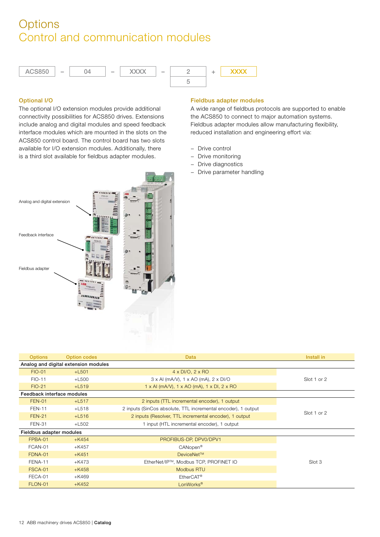# **Options** Control and communication modules



### **Optional I/O**

The optional I/O extension modules provide additional connectivity possibilities for ACS850 drives. Extensions include analog and digital modules and speed feedback interface modules which are mounted in the slots on the ACS850 control board. The control board has two slots available for I/O extension modules. Additionally, there is a third slot available for fieldbus adapter modules.



A wide range of fieldbus protocols are supported to enable the ACS850 to connect to major automation systems. Fieldbus adapter modules allow manufacturing flexibility, reduced installation and engineering effort via:

- − Drive control
- − Drive monitoring
- − Drive diagnostics
- − Drive parameter handling



| <b>Options</b>             | <b>Option codes</b>                  | Data                                                                   | Install in  |
|----------------------------|--------------------------------------|------------------------------------------------------------------------|-------------|
|                            | Analog and digital extension modules |                                                                        |             |
| <b>FIO-01</b>              | $+$ L501                             | $4 \times DI/O$ , $2 \times RO$                                        |             |
| <b>FIO-11</b>              | $+L500$                              | $3 \times$ AI (mA/V), $1 \times$ AO (mA), $2 \times$ DI/O              | Slot 1 or 2 |
| $FIO-21$                   | $+$ L519                             | $1 \times$ AI (mA/V), $1 \times$ AO (mA), $1 \times$ DI, $2 \times$ RO |             |
| Feedback interface modules |                                      |                                                                        |             |
| <b>FEN-01</b>              | $+$ L517                             | 2 inputs (TTL incremental encoder), 1 output                           |             |
| <b>FEN-11</b>              | $+$ L518                             | 2 inputs (SinCos absolute, TTL incremental encoder), 1 output          |             |
| <b>FEN-21</b>              | $+L516$                              | 2 inputs (Resolver, TTL incremental encoder), 1 output                 | Slot 1 or 2 |
| <b>FEN-31</b>              | $+L502$                              | 1 input (HTL incremental encoder), 1 output                            |             |
| Fieldbus adapter modules   |                                      |                                                                        |             |
| FPBA-01                    | $+K454$                              | PROFIBUS-DP, DPV0/DPV1                                                 |             |
| FCAN-01                    | $+K457$                              | CANopen <sup>®</sup>                                                   |             |
| FDNA-01                    | $+K451$                              | DeviceNet™                                                             |             |
| FENA-11                    | +K473                                | EtherNet/IP™, Modbus TCP, PROFINET IO                                  | Slot 3      |
| FSCA-01                    | $+K458$                              | Modbus RTU                                                             |             |
| FECA-01                    | +K469                                | EtherCAT <sup>®</sup>                                                  |             |
| FLON-01                    | $+K452$                              | LonWorks <sup>®</sup>                                                  |             |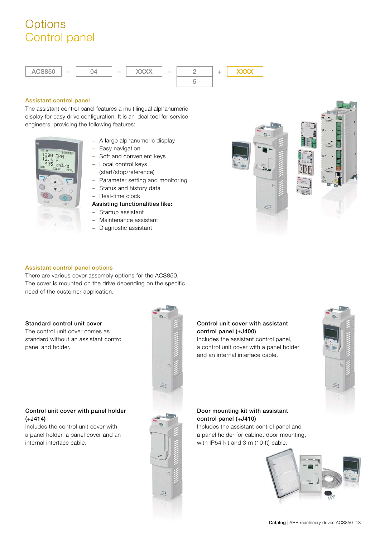# **Options** Control panel

![](_page_12_Figure_1.jpeg)

### **Assistant control panel**

The assistant control panel features a multilingual alphanumeric display for easy drive configuration. It is an ideal tool for service engineers, providing the following features:

![](_page_12_Picture_4.jpeg)

- − A large alphanumeric display
- − Easy navigation
- − Soft and convenient keys
- − Local control keys (start/stop/reference)
- − Parameter setting and monitoring
- − Status and history data
- − Real-time clock

### **Assisting functionalities like:**

- − Startup assistant
- − Maintenance assistant
- − Diagnostic assistant

![](_page_12_Picture_16.jpeg)

#### **Assistant control panel options**

There are various cover assembly options for the ACS850. The cover is mounted on the drive depending on the specific need of the customer application.

### **Standard control unit cover**

The control unit cover comes as standard without an assistant control panel and holder.

### **Control unit cover with panel holder (+J414)**

Includes the control unit cover with a panel holder, a panel cover and an internal interface cable.

![](_page_12_Picture_23.jpeg)

### **Control unit cover with assistant control panel (+J400)**

Includes the assistant control panel, a control unit cover with a panel holder and an internal interface cable.

![](_page_12_Picture_26.jpeg)

#### **Door mounting kit with assistant control panel (+J410)**

Includes the assistant control panel and a panel holder for cabinet door mounting, with IP54 kit and 3 m (10 ft) cable.

![](_page_12_Picture_29.jpeg)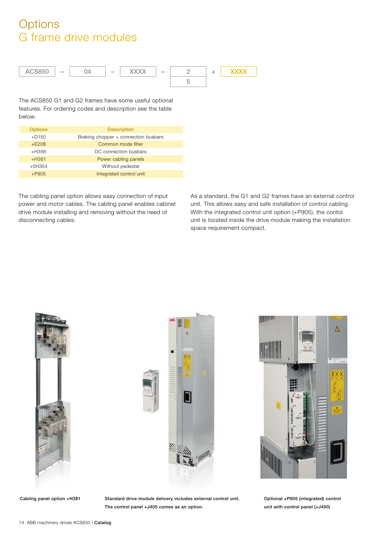# **Options** G frame drive modules

![](_page_13_Figure_1.jpeg)

The ACS850 G1 and G2 frames have some useful optional features. For ordering codes and description see the table below.

| <b>Options</b> | <b>Description</b>                   |
|----------------|--------------------------------------|
| $+D150$        | Braking chopper + connection busbars |
| $+E208$        | Common mode filter                   |
| $+H356$        | DC connection busbars                |
| $+H381$        | Power cabling panels                 |
| $+0H354$       | Without pedestal                     |
| $+P905$        | Integrated control unit              |

The cabling panel option allows easy connection of input power and motor cables. The cabling panel enables cabinet drive module installing and removing without the need of disconnecting cables.

As a standard, the G1 and G2 frames have an external control unit. This allows easy and safe installation of control cabling. With the integrated control unit option (+P905), the contol unit is located inside the drive module making the installation space requirement compact.

![](_page_13_Picture_6.jpeg)

![](_page_13_Picture_8.jpeg)

<u> Hillian III</u>  $\mathbb{A}$ 

Cabling panel option +H381 Standard drive module delivery includes external control unit. **The control panel +J400 comes as an option.**

**Optional +P905 (integrated) control unit with control panel (+J400)**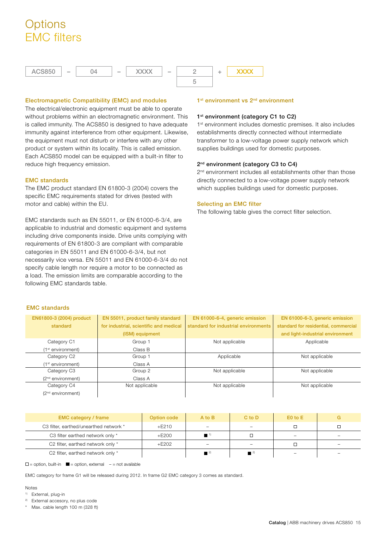# **Options** EMC filters

![](_page_14_Figure_1.jpeg)

### **Electromagnetic Compatibility (EMC) and modules**

The electrical/electronic equipment must be able to operate without problems within an electromagnetic environment. This is called immunity. The ACS850 is designed to have adequate immunity against interference from other equipment. Likewise, the equipment must not disturb or interfere with any other product or system within its locality. This is called emission. Each ACS850 model can be equipped with a built-in filter to reduce high frequency emission.

#### **EMC standards**

The EMC product standard EN 61800-3 (2004) covers the specific EMC requirements stated for drives (tested with motor and cable) within the EU.

EMC standards such as EN 55011, or EN 61000-6-3/4, are applicable to industrial and domestic equipment and systems including drive components inside. Drive units complying with requirements of EN 61800-3 are compliant with comparable categories in EN 55011 and EN 61000-6-3/4, but not necessarily vice versa. EN 55011 and EN 61000-6-3/4 do not specify cable length nor require a motor to be connected as a load. The emission limits are comparable according to the following EMC standards table.

#### **1st environment vs 2nd environment**

#### **1st environment (category C1 to C2)**

1<sup>st</sup> environment includes domestic premises. It also includes establishments directly connected without intermediate transformer to a low-voltage power supply network which supplies buildings used for domestic purposes.

### **2nd environment (category C3 to C4)**

2<sup>nd</sup> environment includes all establishments other than those directly connected to a low-voltage power supply network which supplies buildings used for domestic purposes.

### **Selecting an EMC filter**

The following table gives the correct filter selection.

### **EMC standards**

| EN61800-3 (2004) product      | EN 55011, product family standard      | EN 61000-6-4, generic emission       | EN 61000-6-3, generic emission       |
|-------------------------------|----------------------------------------|--------------------------------------|--------------------------------------|
| standard                      | for industrial, scientific and medical | standard for industrial environments | standard for residential, commercial |
|                               | (ISM) equipment                        |                                      | and light-industrial environment     |
| Category C1                   | Group 1                                | Not applicable                       | Applicable                           |
| (1 <sup>st</sup> environment) | Class B                                |                                      |                                      |
| Category C2                   | Group 1                                | Applicable                           | Not applicable                       |
| (1 <sup>st</sup> environment) | Class A                                |                                      |                                      |
| Category C3                   | Group 2                                | Not applicable                       | Not applicable                       |
| $(2nd$ environment)           | Class A                                |                                      |                                      |
| Category C4                   | Not applicable                         | Not applicable                       | Not applicable                       |
| $(2nd$ environment)           |                                        |                                      |                                      |

| <b>EMC category / frame</b>            | Option code | A to B | $C$ to $D$ | $E0$ to $E$              |                          |
|----------------------------------------|-------------|--------|------------|--------------------------|--------------------------|
| C3 filter, earthed/unearthed network * | $+E210$     |        |            |                          |                          |
| C3 filter earthed network only *       | $+E200$     |        |            | $\qquad \qquad -$        | $\overline{\phantom{0}}$ |
| C2 filter, earthed network only *      | +E202       |        |            |                          |                          |
| C2 filter, earthed network only *      |             |        |            | $\overline{\phantom{0}}$ |                          |

 $\square$  = option, built-in  $\square$  = option, external  $\rightharpoonup$  = not available

EMC category for frame G1 will be released during 2012. In frame G2 EMC category 3 comes as standard.

Notes

- 1) External, plug-in
- 2) External accesory, no plus code
- Max. cable length 100 m (328 ft)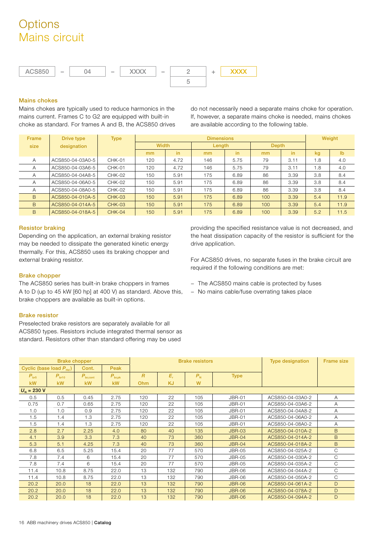# **Options** Mains circuit

![](_page_15_Figure_1.jpeg)

### **Mains chokes**

Mains chokes are typically used to reduce harmonics in the mains current. Frames C to G2 are equipped with built-in choke as standard. For frames A and B, the ACS850 drives do not necessarily need a separate mains choke for operation. If, however, a separate mains choke is needed, mains chokes are available according to the following table.

| Frame | Drive type       | <b>Type</b>   |              | <b>Dimensions</b> |        |      |       |      |     |                |  |
|-------|------------------|---------------|--------------|-------------------|--------|------|-------|------|-----|----------------|--|
| size  | designation      |               | <b>Width</b> |                   | Length |      | Depth |      |     |                |  |
|       |                  |               | mm           | in                | mm     | in   | mm    | in.  | kg  | I <sub>b</sub> |  |
| A     | ACS850-04-03A0-5 | <b>CHK-01</b> | 120          | 4.72              | 146    | 5.75 | 79    | 3.11 | 1.8 | 4.0            |  |
| A     | ACS850-04-03A6-5 | CHK-01        | 120          | 4.72              | 146    | 5.75 | 79    | 3.11 | 1.8 | 4.0            |  |
| A     | ACS850-04-04A8-5 | <b>CHK-02</b> | 150          | 5.91              | 175    | 6.89 | 86    | 3.39 | 3.8 | 8.4            |  |
| A     | ACS850-04-06A0-5 | CHK-02        | 150          | 5.91              | 175    | 6.89 | 86    | 3.39 | 3.8 | 8.4            |  |
| А     | ACS850-04-08A0-5 | CHK-02        | 150          | 5.91              | 175    | 6.89 | 86    | 3.39 | 3.8 | 8.4            |  |
| B     | ACS850-04-010A-5 | <b>CHK-03</b> | 150          | 5.91              | 175    | 6.89 | 100   | 3.39 | 5.4 | 11.9           |  |
| B     | ACS850-04-014A-5 | <b>CHK-03</b> | 150          | 5.91              | 175    | 6.89 | 100   | 3.39 | 5.4 | 11.9           |  |
| B     | ACS850-04-018A-5 | $CHK-04$      | 150          | 5.91              | 175    | 6.89 | 100   | 3.39 | 5.2 | 11.5           |  |

### **Resistor braking**

Depending on the application, an external braking resistor may be needed to dissipate the generated kinetic energy thermally. For this, ACS850 uses its braking chopper and external braking resistor.

#### **Brake chopper**

The ACS850 series has built-in brake choppers in frames A to D (up to 45 kW [60 hp] at 400 V) as standard. Above this, brake choppers are available as built-in options.

#### **Brake resistor**

Preselected brake resistors are separately available for all ACS850 types. Resistors include integrated thermal sensor as standard. Resistors other than standard offering may be used

providing the specified resistance value is not decreased, and the heat dissipation capacity of the resistor is sufficient for the drive application.

For ACS850 drives, no separate fuses in the brake circuit are required if the following conditions are met:

- − The ACS850 mains cable is protected by fuses
- − No mains cable/fuse overrating takes place

| <b>Brake chopper</b>                |                   |                    | <b>Brake resistors</b> |                |           |         | <b>Type designation</b> | <b>Frame size</b> |                |
|-------------------------------------|-------------------|--------------------|------------------------|----------------|-----------|---------|-------------------------|-------------------|----------------|
| Cyclic (base load P <sub>Hd</sub> ) |                   | Cont.              | Peak                   |                |           |         |                         |                   |                |
| $P_{\text{br5}}$                    | $P_{\text{br10}}$ | $P_{\rm br, cont}$ | $P_{\rm br, pk}$       | $\overline{R}$ | $E_r$     | $P_{N}$ | <b>Type</b>             |                   |                |
| <b>kW</b>                           | <b>kW</b>         | kW                 | <b>kW</b>              | <b>Ohm</b>     | <b>KJ</b> | W       |                         |                   |                |
| $U_{N}$ = 230 V                     |                   |                    |                        |                |           |         |                         |                   |                |
| 0.5                                 | 0.5               | 0.45               | 2.75                   | 120            | 22        | 105     | <b>JBR-01</b>           | ACS850-04-03A0-2  | $\overline{A}$ |
| 0.75                                | 0.7               | 0.65               | 2.75                   | 120            | 22        | 105     | <b>JBR-01</b>           | ACS850-04-03A6-2  | $\overline{A}$ |
| 1.0                                 | 1.0               | 0.9                | 2.75                   | 120            | 22        | 105     | <b>JBR-01</b>           | ACS850-04-04A8-2  | $\overline{A}$ |
| 1.5                                 | 1.4               | 1.3                | 2.75                   | 120            | 22        | 105     | <b>JBR-01</b>           | ACS850-04-06A0-2  | $\overline{A}$ |
| 1.5                                 | 1.4               | 1.3                | 2.75                   | 120            | 22        | 105     | <b>JBR-01</b>           | ACS850-04-08A0-2  | $\overline{A}$ |
| 2.8                                 | 2.7               | 2.25               | 4.0                    | 80             | 40        | 135     | <b>JBR-03</b>           | ACS850-04-010A-2  | B.             |
| 4.1                                 | 3.9               | 3.3                | 7.3                    | 40             | 73        | 360     | <b>JBR-04</b>           | ACS850-04-014A-2  | B              |
| 5.3                                 | 5.1               | 4.25               | 7.3                    | 40             | 73        | 360     | <b>JBR-04</b>           | ACS850-04-018A-2  | B.             |
| 6.8                                 | 6.5               | 5.25               | 15.4                   | 20             | 77        | 570     | <b>JBR-05</b>           | ACS850-04-025A-2  | $\mathsf{C}$   |
| 7.8                                 | 7.4               | 6                  | 15.4                   | 20             | 77        | 570     | <b>JBR-05</b>           | ACS850-04-030A-2  | $\mathsf{C}$   |
| 7.8                                 | 7.4               | 6                  | 15.4                   | 20             | 77        | 570     | <b>JBR-05</b>           | ACS850-04-035A-2  | $\mathsf{C}$   |
| 11.4                                | 10.8              | 8.75               | 22.0                   | 13             | 132       | 790     | JBR-06                  | ACS850-04-044A-2  | $\mathcal{C}$  |
| 11.4                                | 10.8              | 8.75               | 22.0                   | 13             | 132       | 790     | JBR-06                  | ACS850-04-050A-2  | $\mathsf{C}$   |
| 20.2                                | 20.0              | 18                 | 22.0                   | 13             | 132       | 790     | <b>JBR-06</b>           | ACS850-04-061A-2  | D              |
| 20.2                                | 20.0              | 18                 | 22.0                   | 13             | 132       | 790     | <b>JBR-06</b>           | ACS850-04-078A-2  | D              |
| 20.2                                | 20.0              | 18                 | 22.0                   | 13             | 132       | 790     | <b>JBR-06</b>           | ACS850-04-094A-2  | D              |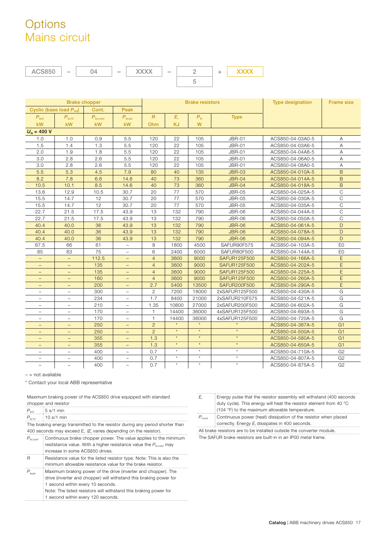# **Options** Mains circuit

| <b>ACS850</b>                       |                          | 04                   |                                 | <b>XXXX</b>    |           | $\overline{2}$         | <b>XXXX</b><br>÷ |                     |                         |                   |
|-------------------------------------|--------------------------|----------------------|---------------------------------|----------------|-----------|------------------------|------------------|---------------------|-------------------------|-------------------|
|                                     |                          |                      |                                 |                |           | 5                      |                  |                     |                         |                   |
|                                     |                          |                      |                                 |                |           |                        |                  |                     |                         |                   |
|                                     |                          |                      |                                 |                |           |                        |                  |                     |                         |                   |
|                                     |                          | <b>Brake chopper</b> |                                 |                |           | <b>Brake resistors</b> |                  |                     | <b>Type designation</b> | <b>Frame size</b> |
| Cyclic (base load P <sub>Hd</sub> ) |                          | Cont.                | Peak                            |                |           |                        |                  |                     |                         |                   |
| $P_{\text{br5}}$                    | $P_{\text{br10}}$        | $P_{\text{br,cont}}$ | $\boldsymbol{P}_{\text{br,pk}}$ | $\overline{R}$ | $E_r$     | $P_{N}$                |                  | <b>Type</b>         |                         |                   |
| kW                                  | <b>kW</b>                | <b>kW</b>            | <b>kW</b>                       | Ohm            | <b>KJ</b> | W                      |                  |                     |                         |                   |
| $U_{N} = 400 V$                     |                          |                      |                                 |                |           |                        |                  |                     |                         |                   |
| 1.0                                 | 1.0                      | 0.9                  | 5.5                             | 120            | 22        | 105                    |                  | <b>JBR-01</b>       | ACS850-04-03A0-5        | Α                 |
| 1.5                                 | 1.4                      | 1.3                  | 5.5                             | 120            | 22        | 105                    |                  | <b>JBR-01</b>       | ACS850-04-03A6-5        | Α                 |
| 2.0                                 | 1.9                      | 1.8                  | 5.5                             | 120            | 22        | 105                    |                  | <b>JBR-01</b>       | ACS850-04-04A8-5        | Α                 |
| 3.0                                 | 2.8                      | 2.6                  | 5.5                             | 120            | 22        | 105                    |                  | <b>JBR-01</b>       | ACS850-04-06A0-5        | Α                 |
| 3.0                                 | 2.8                      | 2.6                  | 5.5                             | 120            | 22        | 105                    |                  | <b>JBR-01</b>       | ACS850-04-08A0-5        | $\overline{A}$    |
| 5.5                                 | 5.3                      | 4.5                  | 7.9                             | 80             | 40        | 135                    |                  | <b>JBR-03</b>       | ACS850-04-010A-5        | B                 |
| 8.2                                 | 7.8                      | 6.6                  | 14.6                            | 40             | 73        | 360                    |                  | <b>JBR-04</b>       | ACS850-04-014A-5        | B                 |
| 10.5                                | 10.1                     | 8.5                  | 14.6                            | 40             | 73        | 360                    |                  | <b>JBR-04</b>       | ACS850-04-018A-5        | B                 |
| 13.6                                | 12.9                     | 10.5                 | 30.7                            | 20             | 77        | 570                    |                  | <b>JBR-05</b>       | ACS850-04-025A-5        | C                 |
| 15.5                                | 14.7                     | 12                   | 30.7                            | 20             | 77        | 570                    |                  | <b>JBR-05</b>       | ACS850-04-030A-5        | $\mathsf C$       |
| 15.5                                | 14.7                     | 12                   | 30.7                            | 20             | 77        | 570                    |                  | <b>JBR-05</b>       | ACS850-04-035A-5        | C                 |
| 22.7                                | 21.5                     | 17.5                 | 43.9                            | 13             | 132       | 790                    |                  | <b>JBR-06</b>       | ACS850-04-044A-5        | $\mathsf{C}$      |
| 22.7                                | 21.5                     | 17.5                 | 43.9                            | 13             | 132       | 790                    |                  | <b>JBR-06</b>       | ACS850-04-050A-5        | C                 |
| 40.4                                | 40.0                     | 36                   | 43.9                            | 13             | 132       | 790                    |                  | <b>JBR-06</b>       | ACS850-04-061A-5        | D                 |
| 40.4                                | 40.0                     | 36                   | 43.9                            | 13             | 132       | 790                    |                  | <b>JBR-06</b>       | ACS850-04-078A-5        | D                 |
| 40.4                                | 40.0                     | 36                   | 43.9                            | 13             | 132       | 790                    |                  | <b>JBR-06</b>       | ACS850-04-094A-5        | D                 |
| 67.5                                | 66                       | 61                   | $\overline{\phantom{0}}$        | 8              | 1800      | 4500                   |                  | SAFUR90F575         | ACS850-04-103A-5        | E <sub>0</sub>    |
| 85                                  | 83                       | 75                   | $\overline{\phantom{0}}$        | 6              | 2400      | 6000                   |                  | SAFUR80F500         | ACS850-04-144A-5        | E <sub>0</sub>    |
| $\equiv$                            | $\equiv$                 | 112.5                |                                 | $\overline{4}$ | 3600      | 9000                   |                  | <b>SAFUR125F500</b> | ACS850-04-166A-5        | E                 |
| $\qquad \qquad -$                   | $\qquad \qquad -$        | 135                  | $\qquad \qquad -$               | $\overline{4}$ | 3600      | 9000                   |                  | <b>SAFUR125F500</b> | ACS850-04-202A-5        | E                 |
| $\qquad \qquad -$                   |                          | 135                  | $\qquad \qquad -$               | $\overline{4}$ | 3600      | 9000                   |                  | <b>SAFUR125F500</b> | ACS850-04-225A-5        | E                 |
| $\overline{\phantom{0}}$            | $\overline{\phantom{a}}$ | 160                  | $\overline{\phantom{a}}$        | $\overline{4}$ | 3600      | 9000                   |                  | <b>SAFUR125F500</b> | ACS850-04-260A-5        | E                 |
| -                                   | $\qquad \qquad -$        | 200                  | $\qquad \qquad -$               | 2.7            | 5400      | 13500                  |                  | <b>SAFUR200F500</b> | ACS850-04-290A-5        | E                 |
| $\overline{\phantom{0}}$            | $\overline{\phantom{a}}$ | 300                  | $\equiv$                        | $\mathbf{2}$   | 7200      | 18000                  |                  | 2xSAFUR125F500      | ACS850-04-430A-5        | G                 |
| -                                   | $\overline{\phantom{a}}$ | 234                  | $\overline{\phantom{a}}$        | 1.7            | 8400      | 21000                  |                  | 2xSAFUR210F575      | ACS850-04-521A-5        | G                 |
| $\equiv$                            | $\qquad \qquad -$        | 210                  | $\qquad \qquad -$               | 1.35           | 10800     | 27000                  |                  | 2xSAFUR200F500      | ACS850-04-602A-5        | G                 |
| $\equiv$                            | $\equiv$                 | 170                  | $\equiv$                        | $\mathbf{1}$   | 14400     | 36000                  |                  | 4xSAFUR125F500      | ACS850-04-693A-5        | G                 |
| $\equiv$                            | $\qquad \qquad -$        | 170                  | $\overline{\phantom{0}}$        | $\mathbf{1}$   | 14400     | 36000                  |                  | 4xSAFUR125F500      | ACS850-04-720A-5        | G                 |
| $=$                                 | $\equiv$                 | 250                  | $\equiv$                        | 2              |           |                        |                  |                     | ACS850-04-387A-5        | G <sub>1</sub>    |
|                                     |                          | 250                  |                                 | $\overline{2}$ | $\star$   | $\star$                |                  | $\star$             | ACS850-04-500A-5        | G <sub>1</sub>    |
| $\qquad \qquad -$                   | $\qquad \qquad -$        | 355                  | $\qquad \qquad -$               | 1.3            | $\star$   | $\star$                |                  | $\star$             | ACS850-04-580A-5        | G <sub>1</sub>    |
| $\qquad \qquad -$                   | $\qquad \qquad -$        | 355                  | $\qquad \qquad -$               | 1.3            | $\star$   | $\star$                |                  | $\star$             | ACS850-04-650A-5        | G <sub>1</sub>    |
| $\overline{\phantom{0}}$            | $\qquad \qquad -$        | 400                  | $\overline{\phantom{0}}$        | 0.7            | $\star$   | $\star$                |                  | $\star$             | ACS850-04-710A-5        | G <sub>2</sub>    |
| $\overline{\phantom{0}}$            | $\overline{\phantom{m}}$ | 400                  | $\overline{\phantom{m}}$        | 0.7            | $\star$   | $\star$                |                  | $\star$             | ACS850-04-807A-5        | G <sub>2</sub>    |
|                                     |                          | 400                  |                                 | 0.7            | $\star$   | $\star$                |                  | $\star$             | ACS850-04-875A-5        | G <sub>2</sub>    |

– = not available

\* Contact your local ABB representative

|                      | Maximum braking power of the ACS850 drive equipped with standard |
|----------------------|------------------------------------------------------------------|
| shannas and saaistas |                                                                  |

|                      | chopper and resistor                                                          |
|----------------------|-------------------------------------------------------------------------------|
|                      | $P_{\text{br5}}$ :5 s/1 min                                                   |
| $P_{\text{br10}}$    | $\frac{1}{2}$ 10 s/1 min                                                      |
|                      | The braking energy transmitted to the resistor during any period shorter than |
|                      | 400 seconds may exceed $E_r$ . ( $E_r$ varies depending on the resistor).     |
| $P_{\text{br,cont}}$ | Continuous brake chopper power. The value applies to the minimum              |
|                      | resitstance value. With a higher resistance value the $P_{\text{brcont}}$ may |
|                      | increase in some ACS850 drives.                                               |
| R                    | Resistance value for the listed resistor type. Note: This is also the         |
|                      | minimum allowable resistance value for the brake resistor.                    |
| $P_{\rm br, pk}$     | Maximum braking power of the drive (inverter and chopper). The                |
|                      | drive (inverter and chopper) will withstand this braking power for            |
|                      | 1 second within every 10 seconds.                                             |
|                      | Note: The listed resistors will withstand this braking power for              |
|                      | 1 second within every 120 seconds.                                            |

| Ŀ.                                                                    | Energy pulse that the resistor assembly will withstand (400 seconds) |  |  |  |  |  |  |  |
|-----------------------------------------------------------------------|----------------------------------------------------------------------|--|--|--|--|--|--|--|
|                                                                       | duty cycle). This energy will heat the resistor element from 40 °C   |  |  |  |  |  |  |  |
|                                                                       | $(104 \text{ °F})$ to the maximum allowable temperature.             |  |  |  |  |  |  |  |
| $P_{\rm cont}$                                                        | Continuous power (heat) dissipation of the resistor when placed      |  |  |  |  |  |  |  |
|                                                                       | : correctly. Energy $E_r$ dissipates in 400 seconds.                 |  |  |  |  |  |  |  |
| All brake resistors are to be installed outside the converter module. |                                                                      |  |  |  |  |  |  |  |

The SAFUR brake resistors are built-in in an IP00 metal frame.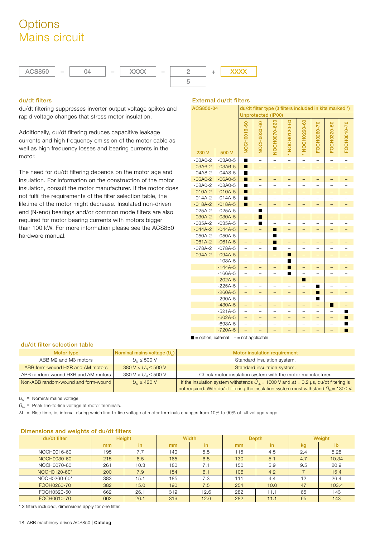# **Options** Mains circuit

![](_page_17_Figure_1.jpeg)

### **du/dt filters**

du/dt filtering suppresses inverter output voltage spikes and rapid voltage changes that stress motor insulation.

Additionally, du/dt filtering reduces capacitive leakage currents and high frequency emission of the motor cable as well as high frequency losses and bearing currents in the motor.

The need for du/dt filtering depends on the motor age and insulation. For information on the construction of the motor insulation, consult the motor manufacturer. If the motor does not fulfil the requirements of the filter selection table, the lifetime of the motor might decrease. Insulated non-driven end (N-end) bearings and/or common mode filters are also required for motor bearing currents with motors bigger than 100 kW. For more information please see the ACS850 hardware manual.

### **External du/dt filters**

| ACS850-04                         | du/dt filter type (3 filters included in kits marked *) |                          |                           |                          |                          |                          |                          |                          |                          |  |  |
|-----------------------------------|---------------------------------------------------------|--------------------------|---------------------------|--------------------------|--------------------------|--------------------------|--------------------------|--------------------------|--------------------------|--|--|
|                                   |                                                         |                          | <b>Unprotected (IP00)</b> |                          |                          |                          |                          |                          |                          |  |  |
| 230 V                             | 500 V                                                   |                          |                           | NOCH0070-620             | * NOCH0120-60            | * NOCH0260-60            | FOCH0260-70              | FOCH0320-50              | FOCH0610-70              |  |  |
| $-03A0-2$                         | $-03A0-5$                                               | п                        |                           | $=$                      |                          |                          |                          |                          |                          |  |  |
| $-03A6-2$                         | $-03A6-5$                                               | $\blacksquare$           | ÷,                        | $\overline{\phantom{0}}$ | -                        | $\overline{\phantom{0}}$ | $\overline{\phantom{0}}$ | ÷,                       | $\equiv$                 |  |  |
| $-04A8-2$                         | $-04A8-5$                                               | п                        |                           |                          |                          |                          |                          |                          |                          |  |  |
| $-06A0-2$                         | $-06A0-5$                                               | П                        | ÷,                        | ÷                        | $\overline{\phantom{0}}$ | -                        | -                        | -                        | -                        |  |  |
| $-08A0-2$                         | $-08A0-5$                                               | П                        | $=$                       | $\overline{a}$           | $\overline{a}$           | $\overline{\phantom{0}}$ |                          | $-$                      |                          |  |  |
| $-010A-2$                         | $-010A-5$                                               | п                        | $\equiv$                  | $\overline{\phantom{0}}$ | $\overline{\phantom{0}}$ | -                        | -                        | $\overline{\phantom{0}}$ | $\overline{\phantom{0}}$ |  |  |
| $-014A-2$                         | $-014A-5$                                               | ■                        | $\overline{\phantom{0}}$  | $\overline{\phantom{0}}$ | $\overline{\phantom{0}}$ | -                        |                          | -                        |                          |  |  |
| $-018A-2$                         | $-018A-5$                                               | п                        | L,                        | $\overline{\phantom{0}}$ | $\overline{\phantom{0}}$ | ÷                        | -                        | $\overline{\phantom{0}}$ | -                        |  |  |
| $-025A-2$                         | $-025A-5$                                               | $\overline{a}$           | ■                         | $\overline{a}$           | $\overline{a}$           | $\overline{\phantom{0}}$ |                          | $-$                      |                          |  |  |
| $-030A-2$                         | $-030A-5$                                               | -                        | п                         | -                        | -                        | -                        | -                        | <sup>-</sup>             | -                        |  |  |
| $-035A-2$                         | $-035A-5$                                               | $\overline{a}$           | п                         | $\overline{a}$           | $\overline{\phantom{0}}$ | $\overline{\phantom{0}}$ |                          | $-$                      |                          |  |  |
| $-044A-2$                         | $-044A-5$                                               | —                        | ÷,                        | П                        | -                        | -                        | -                        | -                        | -                        |  |  |
| $-050A-2$                         | $-050A-5$                                               | $\overline{a}$           | $\overline{\phantom{0}}$  | П                        | $\overline{a}$           |                          |                          | $\overline{\phantom{0}}$ |                          |  |  |
| $-061A-2$                         | $-061A-5$                                               | -                        | -                         | п                        | -                        | -                        | -                        | -                        | -                        |  |  |
| $-078A-2$                         | $-078A-5$                                               | $\overline{\phantom{0}}$ | $\overline{\phantom{0}}$  | П                        |                          |                          |                          | -                        |                          |  |  |
| $-094A-2$                         | $-094A-5$                                               | $\equiv$                 | -                         | $\overline{\phantom{0}}$ | п                        | -                        | -                        | -                        | -                        |  |  |
|                                   | $-103A-5$                                               | $\overline{\phantom{0}}$ | $\overline{\phantom{0}}$  | $\overline{\phantom{0}}$ | п                        | $\overline{\phantom{0}}$ |                          | -                        |                          |  |  |
|                                   | $-144A-5$                                               | -                        | -                         | -                        | П                        | -                        |                          | -                        | -                        |  |  |
|                                   | $-166A-5$                                               | $\overline{a}$           | L,                        | $\overline{a}$           | п                        | L,                       |                          | -                        | L,                       |  |  |
|                                   | $-202A-5$                                               | -                        | -                         | -                        | $\overline{\phantom{0}}$ | п                        |                          | -                        | -                        |  |  |
|                                   | $-225A-5$                                               | $-$                      | $\equiv$                  | $\overline{a}$           | $\equiv$                 | $\equiv$                 | п                        | $\overline{a}$           |                          |  |  |
|                                   | $-260A-5$                                               | -                        | -                         | <sup>-</sup>             | -                        | <sup>-</sup>             | п                        | -                        | <sup>-</sup>             |  |  |
|                                   | $-290A-5$                                               | $\overline{a}$           |                           |                          |                          |                          | ■                        |                          |                          |  |  |
|                                   | $-430A-5$                                               | $\equiv$                 | -                         | -                        | ÷                        | -                        | -                        | П                        | $\overline{\phantom{0}}$ |  |  |
|                                   | $-521A-5$                                               | $\overline{a}$           |                           |                          |                          |                          |                          |                          | п                        |  |  |
|                                   | $-602A-5$                                               | -                        | -                         | —                        | -                        |                          |                          | -                        | п                        |  |  |
|                                   | $-693A-5$                                               |                          |                           |                          |                          |                          |                          | $\overline{\phantom{0}}$ | ■                        |  |  |
|                                   | $-720A-5$                                               |                          |                           |                          |                          |                          |                          |                          | П                        |  |  |
| $\blacksquare$ = option, external |                                                         | $-$ = not applicable     |                           |                          |                          |                          |                          |                          |                          |  |  |

#### **du/dt filter selection table**

| Motor type                          | Nominal mains voltage $(U_{u})$ | Motor insulation requirement                                                                            |
|-------------------------------------|---------------------------------|---------------------------------------------------------------------------------------------------------|
| ABB M2 and M3 motors                | $U_{N} \leq 500$ V              | Standard insulation system.                                                                             |
| ABB form-wound HXR and AM motors    | 380 V < $U_{N}$ $\leq$ 500 V    | Standard insulation system.                                                                             |
| ABB random-wound HXR and AM motors  | 380 V < $U_{N}$ $\leq$ 500 V    | Check motor insulation system with the motor manufacturer.                                              |
| Non-ABB random-wound and form-wound | $U_{N} \leq 420$ V              | If the insulation system withstands $\hat{U}_{11}$ = 1600 V and $\Delta t$ = 0.2 µs, du/dt filtering is |
|                                     |                                 | not required. With du/dt filtering the insulation system must withstand $\hat{U}_{LL}$ = 1300 V.        |

 $U_N$  = Nominal mains voltage.

 $\hat{U}_{LL}$  = Peak line-to-line voltage at motor terminals.

Δt = Rise time, ie, interval during which line-to-line voltage at motor terminals changes from 10% to 90% of full voltage range.

| Dimensions and weights of du/dt filters |               |      |     |              |                |              |        |               |  |  |
|-----------------------------------------|---------------|------|-----|--------------|----------------|--------------|--------|---------------|--|--|
| du/dt filter                            | <b>Height</b> |      |     | <b>Width</b> |                | <b>Depth</b> | Weight |               |  |  |
|                                         | mm            | in.  | mm  | in.          | m <sub>m</sub> | in           | kg     | $\mathsf{lb}$ |  |  |
| NOCH0016-60                             | 195           | 7.7  | 140 | 5.5          | 115            | 4.5          | 2.4    | 5.28          |  |  |
| NOCH0030-60                             | 215           | 8.5  | 165 | 6.5          | 130            | 5.1          | 4.7    | 10.34         |  |  |
| NOCH0070-60                             | 261           | 10.3 | 180 | 7.1          | 150            | 5.9          | 9.5    | 20.9          |  |  |
| NOCH0120-60*                            | 200           | 7.9  | 154 | 6.1          | 106            | 4.2          |        | 15.4          |  |  |
| NOCH0260-60*                            | 383           | 15.1 | 185 | 7.3          | 111            | 4.4          | 12     | 26.4          |  |  |
| FOCH0260-70                             | 382           | 15.0 | 190 | 7.5          | 254            | 10.0         | 47     | 103.4         |  |  |
| FOCH0320-50                             | 662           | 26.1 | 319 | 12.6         | 282            | 11.1         | 65     | 143           |  |  |
| FOCH0610-70                             | 662           | 26.1 | 319 | 12.6         | 282            | 11.1         | 65     | 143           |  |  |

#### **Dimensions and weights of du/dt filters**

\* 3 filters included, dimensions apply for one filter.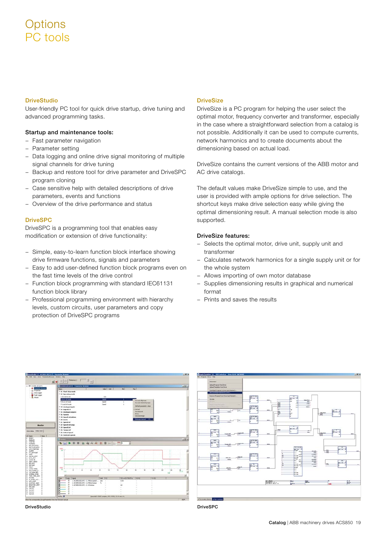# **Options** PC tools

### **DriveStudio**

User-friendly PC tool for quick drive startup, drive tuning and advanced programming tasks.

### **Startup and maintenance tools:**

- − Fast parameter navigation
- − Parameter setting
- − Data logging and online drive signal monitoring of multiple signal channels for drive tuning
- − Backup and restore tool for drive parameter and DriveSPC program cloning
- − Case sensitive help with detailed descriptions of drive parameters, events and functions
- − Overview of the drive performance and status

### **DriveSPC**

DriveSPC is a programming tool that enables easy modification or extension of drive functionality:

- − Simple, easy-to-learn function block interface showing drive firmware functions, signals and parameters
- − Easy to add user-defined function block programs even on the fast time levels of the drive control
- − Function block programming with standard IEC61131 function block library
- − Professional programming environment with hierarchy levels, custom circuits, user parameters and copy protection of DriveSPC programs

### **DriveSize**

DriveSize is a PC program for helping the user select the optimal motor, frequency converter and transformer, especially in the case where a straightforward selection from a catalog is not possible. Additionally it can be used to compute currents, network harmonics and to create documents about the dimensioning based on actual load.

DriveSize contains the current versions of the ABB motor and AC drive catalogs.

The default values make DriveSize simple to use, and the user is provided with ample options for drive selection. The shortcut keys make drive selection easy while giving the optimal dimensioning result. A manual selection mode is also supported.

### **DriveSize features:**

- − Selects the optimal motor, drive unit, supply unit and transformer
- − Calculates network harmonics for a single supply unit or for the whole system
- − Allows importing of own motor database
- − Supplies dimensioning results in graphical and numerical format
- − Prints and saves the results

![](_page_18_Figure_26.jpeg)

![](_page_18_Figure_27.jpeg)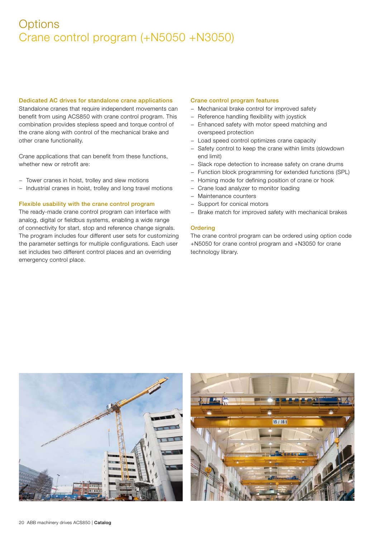# **Options** Crane control program (+N5050 +N3050)

#### **Dedicated AC drives for standalone crane applications**

Standalone cranes that require independent movements can benefit from using ACS850 with crane control program. This combination provides stepless speed and torque control of the crane along with control of the mechanical brake and other crane functionality.

Crane applications that can benefit from these functions, whether new or retrofit are:

- − Tower cranes in hoist, trolley and slew motions
- − Industrial cranes in hoist, trolley and long travel motions

### **Flexible usability with the crane control program**

The ready-made crane control program can interface with analog, digital or fieldbus systems, enabling a wide range of connectivity for start, stop and reference change signals. The program includes four different user sets for customizing the parameter settings for multiple configurations. Each user set includes two different control places and an overriding emergency control place.

#### **Crane control program features**

- − Mechanical brake control for improved safety
- − Reference handling flexibility with joystick
- − Enhanced safety with motor speed matching and overspeed protection
- − Load speed control optimizes crane capacity
- Safety control to keep the crane within limits (slowdown end limit)
- Slack rope detection to increase safety on crane drums
- − Function block programming for extended functions (SPL)
- − Homing mode for defining position of crane or hook
- − Crane load analyzer to monitor loading
- − Maintenance counters
- Support for conical motors
- − Brake match for improved safety with mechanical brakes

#### **Ordering**

The crane control program can be ordered using option code +N5050 for crane control program and +N3050 for crane technology library.

![](_page_19_Picture_23.jpeg)

![](_page_19_Picture_24.jpeg)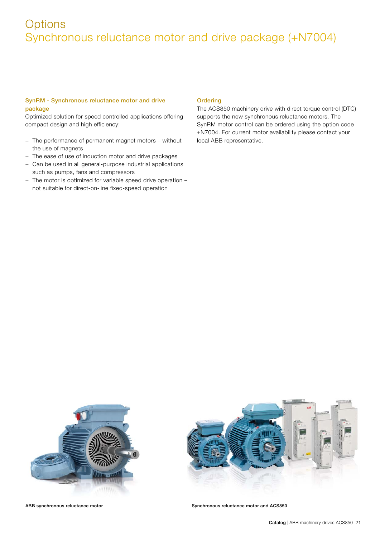# **Options** Synchronous reluctance motor and drive package (+N7004)

### **SynRM - Synchronous reluctance motor and drive package**

Optimized solution for speed controlled applications offering compact design and high efficiency:

- − The performance of permanent magnet motors without the use of magnets
- − The ease of use of induction motor and drive packages
- − Can be used in all general-purpose industrial applications such as pumps, fans and compressors
- − The motor is optimized for variable speed drive operation not suitable for direct-on-line fixed-speed operation

### **Ordering**

The ACS850 machinery drive with direct torque control (DTC) supports the new synchronous reluctance motors. The SynRM motor control can be ordered using the option code +N7004. For current motor availability please contact your local ABB representative.

![](_page_20_Picture_9.jpeg)

![](_page_20_Picture_11.jpeg)

ABB synchronous reluctance motor **Synchronous reluctance motor and ACS850**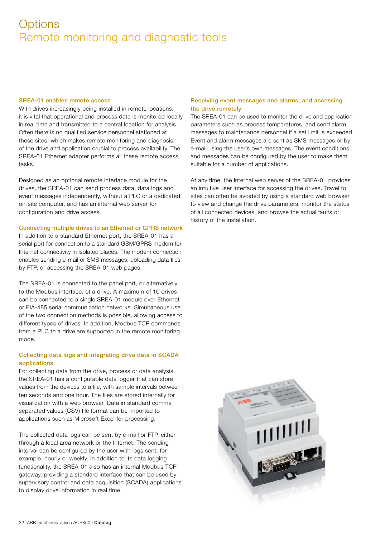# **Options** Remote monitoring and diagnostic tools

#### **SREA-01 enables remote access**

With drives increasingly being installed in remote locations, it is vital that operational and process data is monitored locally in real time and transmitted to a central location for analysis. Often there is no qualified service personnel stationed at these sites, which makes remote monitoring and diagnosis of the drive and application crucial to process availability. The SREA-01 Ethernet adapter performs all these remote access tasks.

Designed as an optional remote interface module for the drives, the SREA-01 can send process data, data logs and event messages independently, without a PLC or a dedicated on-site computer, and has an internal web server for configuration and drive access.

#### **Connecting multiple drives to an Ethernet or GPRS network**

In addition to a standard Ethernet port, the SREA-01 has a serial port for connection to a standard GSM/GPRS modem for Internet connectivity in isolated places. The modem connection enables sending e-mail or SMS messages, uploading data files by FTP, or accessing the SREA-01 web pages.

The SREA-01 is connected to the panel port, or alternatively to the Modbus interface, of a drive. A maximum of 10 drives can be connected to a single SREA-01 module over Ethernet or EIA-485 serial communication networks. Simultaneous use of the two connection methods is possible, allowing access to different types of drives. In addition, Modbus TCP commands from a PLC to a drive are supported in the remote monitoring mode.

### **Collecting data logs and integrating drive data in SCADA applications**

For collecting data from the drive, process or data analysis, the SREA-01 has a configurable data logger that can store values from the devices to a file, with sample intervals between ten seconds and one hour. The files are stored internally for visualization with a web browser. Data in standard comma separated values (CSV) file format can be imported to applications such as Microsoft Excel for processing.

The collected data logs can be sent by e-mail or FTP, either through a local area network or the Internet. The sending interval can be configured by the user with logs sent, for example, hourly or weekly. In addition to its data logging functionality, the SREA-01 also has an internal Modbus TCP gateway, providing a standard interface that can be used by supervisory control and data acquisition (SCADA) applications to display drive information in real time.

### **Receiving event messages and alarms, and accessing the drive remotely**

The SREA-01 can be used to monitor the drive and application parameters such as process temperatures, and send alarm messages to maintenance personnel if a set limit is exceeded. Event and alarm messages are sent as SMS messages or by e-mail using the user´s own messages. The event conditions and messages can be configured by the user to make them suitable for a number of applications.

At any time, the internal web server of the SREA-01 provides an intuitive user interface for accessing the drives. Travel to sites can often be avoided by using a standard web browser to view and change the drive parameters, monitor the status of all connected devices, and browse the actual faults or history of the installation.

![](_page_21_Picture_13.jpeg)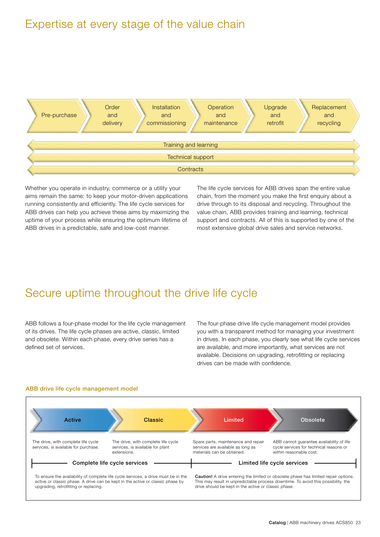## Expertise at every stage of the value chain

![](_page_22_Figure_1.jpeg)

Whether you operate in industry, commerce or a utility your aims remain the same: to keep your motor-driven applications running consistently and efficiently. The life cycle services for ABB drives can help you achieve these aims by maximizing the uptime of your process while ensuring the optimum lifetime of ABB drives in a predictable, safe and low-cost manner.

The life cycle services for ABB drives span the entire value chain, from the moment you make the first enquiry about a drive through to its disposal and recycling. Throughout the value chain, ABB provides training and learning, technical support and contracts. All of this is supported by one of the most extensive global drive sales and service networks.

# Secure uptime throughout the drive life cycle

ABB follows a four-phase model for the life cycle management of its drives. The life cycle phases are active, classic, limited and obsolete. Within each phase, every drive series has a defined set of services.

The four-phase drive life cycle management model provides you with a transparent method for managing your investment in drives. In each phase, you clearly see what life cycle services are available, and more importantly, what services are not available. Decisions on upgrading, retrofitting or replacing drives can be made with confidence.

![](_page_22_Figure_7.jpeg)

### **ABB drive life cycle management model**